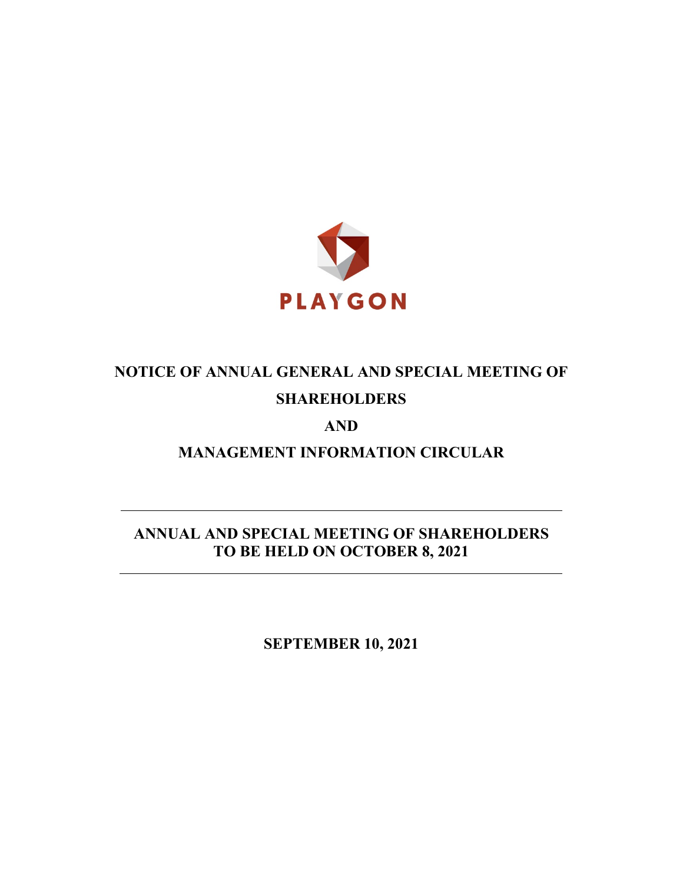

# **NOTICE OF ANNUAL GENERAL AND SPECIAL MEETING OF SHAREHOLDERS**

# **AND**

**MANAGEMENT INFORMATION CIRCULAR**

**ANNUAL AND SPECIAL MEETING OF SHAREHOLDERS TO BE HELD ON OCTOBER 8, 2021**

**SEPTEMBER 10, 2021**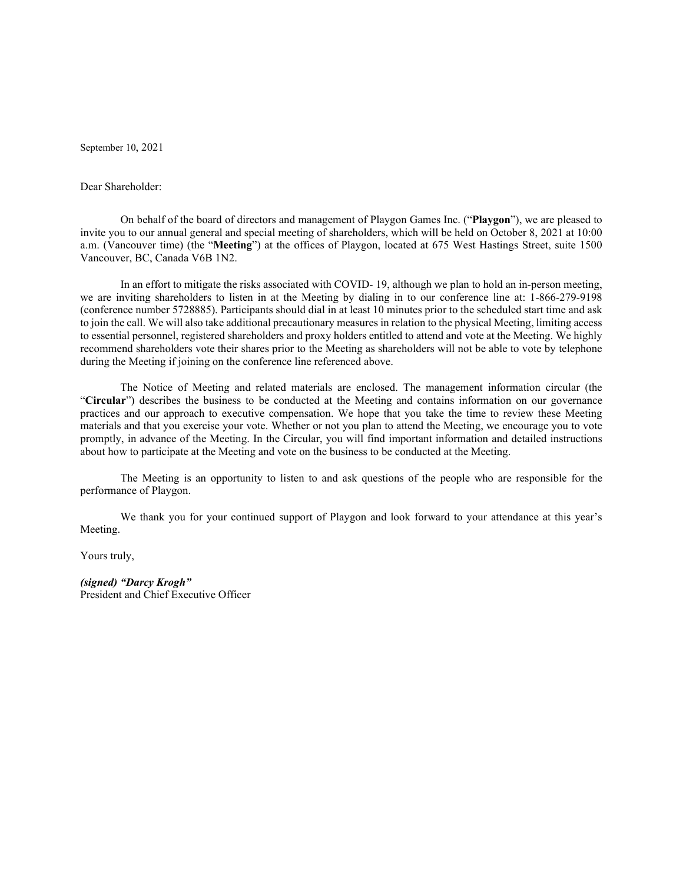September 10, 2021

# Dear Shareholder:

On behalf of the board of directors and management of Playgon Games Inc. ("**Playgon**"), we are pleased to invite you to our annual general and special meeting of shareholders, which will be held on October 8, 2021 at 10:00 a.m. (Vancouver time) (the "**Meeting**") at the offices of Playgon, located at 675 West Hastings Street, suite 1500 Vancouver, BC, Canada V6B 1N2.

In an effort to mitigate the risks associated with COVID- 19, although we plan to hold an in-person meeting, we are inviting shareholders to listen in at the Meeting by dialing in to our conference line at: 1-866-279-9198 (conference number 5728885). Participants should dial in at least 10 minutes prior to the scheduled start time and ask to join the call. We will also take additional precautionary measures in relation to the physical Meeting, limiting access to essential personnel, registered shareholders and proxy holders entitled to attend and vote at the Meeting. We highly recommend shareholders vote their shares prior to the Meeting as shareholders will not be able to vote by telephone during the Meeting if joining on the conference line referenced above.

The Notice of Meeting and related materials are enclosed. The management information circular (the "**Circular**") describes the business to be conducted at the Meeting and contains information on our governance practices and our approach to executive compensation. We hope that you take the time to review these Meeting materials and that you exercise your vote. Whether or not you plan to attend the Meeting, we encourage you to vote promptly, in advance of the Meeting. In the Circular, you will find important information and detailed instructions about how to participate at the Meeting and vote on the business to be conducted at the Meeting.

The Meeting is an opportunity to listen to and ask questions of the people who are responsible for the performance of Playgon.

We thank you for your continued support of Playgon and look forward to your attendance at this year's Meeting.

Yours truly,

*(signed) "Darcy Krogh"* President and Chief Executive Officer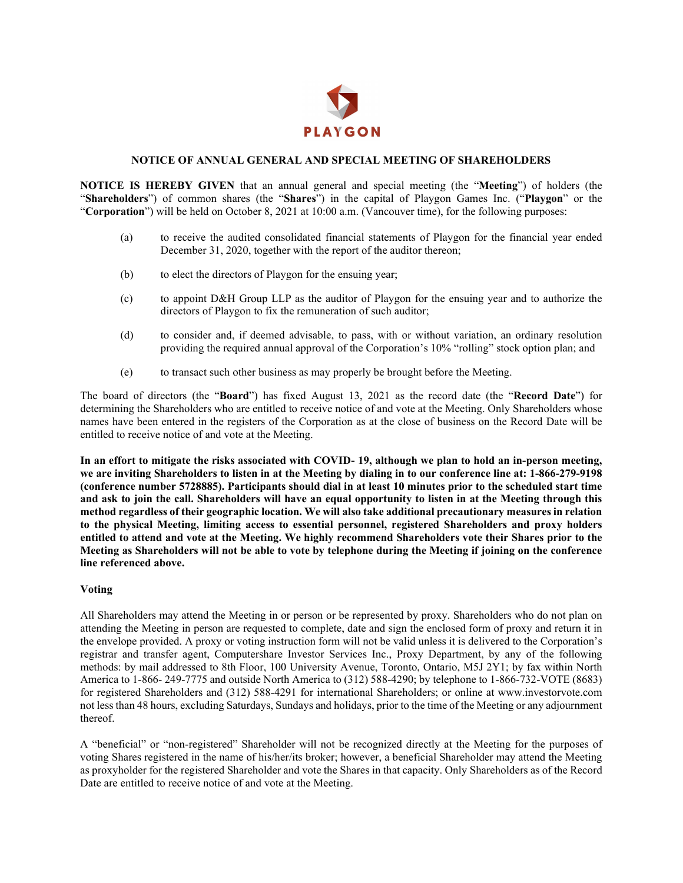

# **NOTICE OF ANNUAL GENERAL AND SPECIAL MEETING OF SHAREHOLDERS**

**NOTICE IS HEREBY GIVEN** that an annual general and special meeting (the "**Meeting**") of holders (the "**Shareholders**") of common shares (the "**Shares**") in the capital of Playgon Games Inc. ("**Playgon**" or the "**Corporation**") will be held on October 8, 2021 at 10:00 a.m. (Vancouver time), for the following purposes:

- (a) to receive the audited consolidated financial statements of Playgon for the financial year ended December 31, 2020, together with the report of the auditor thereon;
- (b) to elect the directors of Playgon for the ensuing year;
- (c) to appoint D&H Group LLP as the auditor of Playgon for the ensuing year and to authorize the directors of Playgon to fix the remuneration of such auditor;
- (d) to consider and, if deemed advisable, to pass, with or without variation, an ordinary resolution providing the required annual approval of the Corporation's 10% "rolling" stock option plan; and
- (e) to transact such other business as may properly be brought before the Meeting.

The board of directors (the "**Board**") has fixed August 13, 2021 as the record date (the "**Record Date**") for determining the Shareholders who are entitled to receive notice of and vote at the Meeting. Only Shareholders whose names have been entered in the registers of the Corporation as at the close of business on the Record Date will be entitled to receive notice of and vote at the Meeting.

**In an effort to mitigate the risks associated with COVID- 19, although we plan to hold an in-person meeting, we are inviting Shareholders to listen in at the Meeting by dialing in to our conference line at: 1-866-279-9198 (conference number 5728885). Participants should dial in at least 10 minutes prior to the scheduled start time and ask to join the call. Shareholders will have an equal opportunity to listen in at the Meeting through this method regardless of their geographic location. We will also take additional precautionary measures in relation to the physical Meeting, limiting access to essential personnel, registered Shareholders and proxy holders entitled to attend and vote at the Meeting. We highly recommend Shareholders vote their Shares prior to the Meeting as Shareholders will not be able to vote by telephone during the Meeting if joining on the conference line referenced above.** 

# **Voting**

All Shareholders may attend the Meeting in or person or be represented by proxy. Shareholders who do not plan on attending the Meeting in person are requested to complete, date and sign the enclosed form of proxy and return it in the envelope provided. A proxy or voting instruction form will not be valid unless it is delivered to the Corporation's registrar and transfer agent, Computershare Investor Services Inc., Proxy Department, by any of the following methods: by mail addressed to 8th Floor, 100 University Avenue, Toronto, Ontario, M5J 2Y1; by fax within North America to 1-866- 249-7775 and outside North America to (312) 588-4290; by telephone to 1-866-732-VOTE (8683) for registered Shareholders and (312) 588-4291 for international Shareholders; or online at www.investorvote.com not less than 48 hours, excluding Saturdays, Sundays and holidays, prior to the time of the Meeting or any adjournment thereof.

A "beneficial" or "non-registered" Shareholder will not be recognized directly at the Meeting for the purposes of voting Shares registered in the name of his/her/its broker; however, a beneficial Shareholder may attend the Meeting as proxyholder for the registered Shareholder and vote the Shares in that capacity. Only Shareholders as of the Record Date are entitled to receive notice of and vote at the Meeting.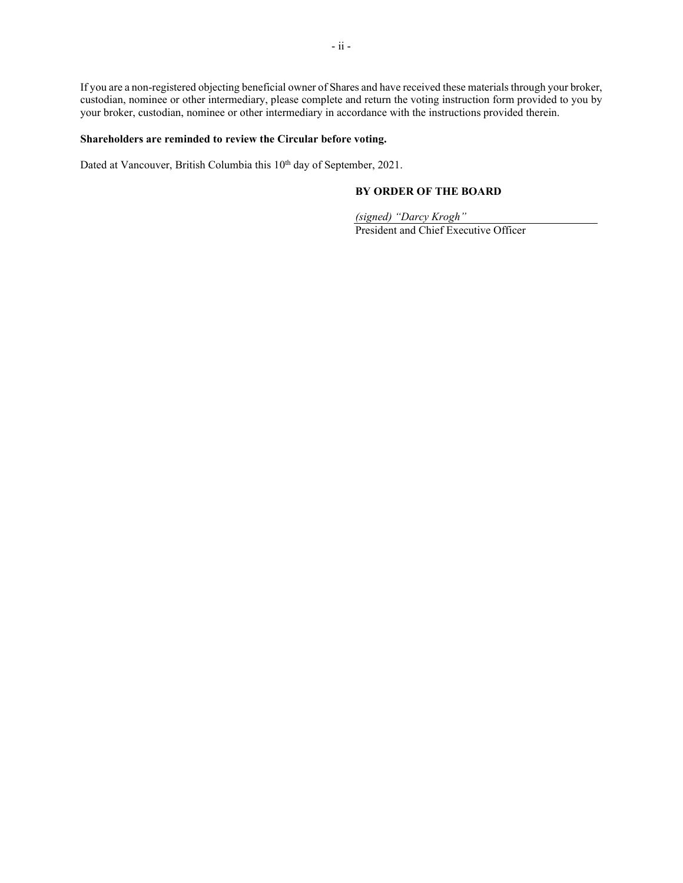If you are a non-registered objecting beneficial owner of Shares and have received these materials through your broker, custodian, nominee or other intermediary, please complete and return the voting instruction form provided to you by your broker, custodian, nominee or other intermediary in accordance with the instructions provided therein.

# **Shareholders are reminded to review the Circular before voting.**

Dated at Vancouver, British Columbia this 10<sup>th</sup> day of September, 2021.

# **BY ORDER OF THE BOARD**

*(signed) "Darcy Krogh"* President and Chief Executive Officer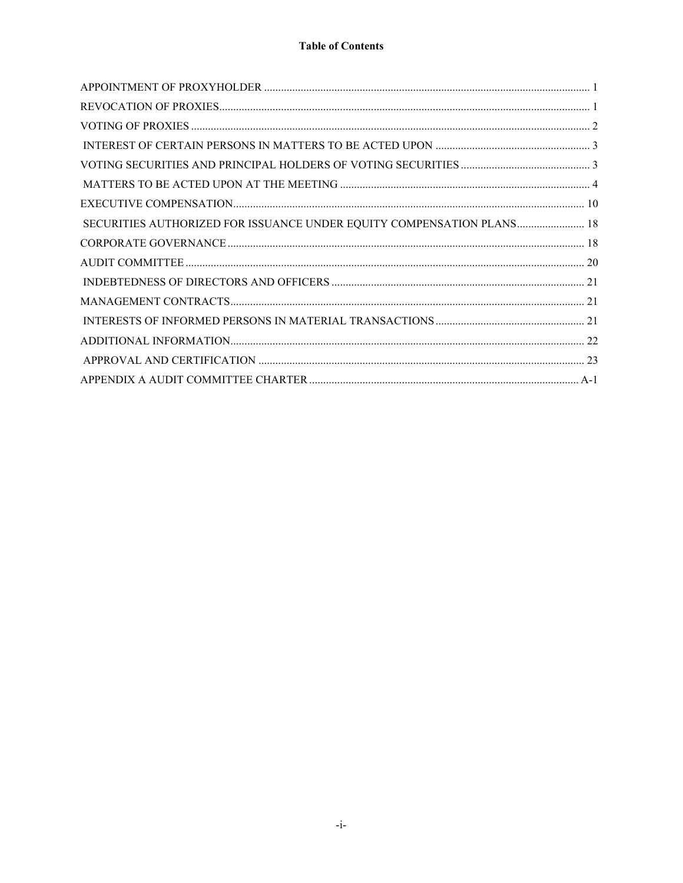# **Table of Contents**

| SECURITIES AUTHORIZED FOR ISSUANCE UNDER EQUITY COMPENSATION PLANS 18 |  |
|-----------------------------------------------------------------------|--|
|                                                                       |  |
|                                                                       |  |
|                                                                       |  |
|                                                                       |  |
|                                                                       |  |
|                                                                       |  |
|                                                                       |  |
|                                                                       |  |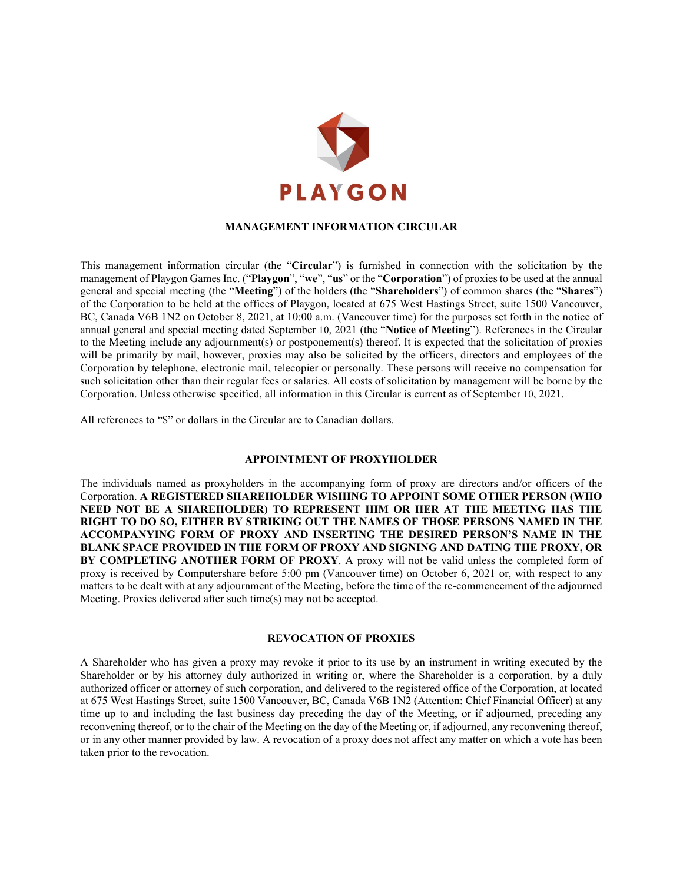

# **MANAGEMENT INFORMATION CIRCULAR**

This management information circular (the "**Circular**") is furnished in connection with the solicitation by the management of Playgon Games Inc. ("**Playgon**", "**we**", "**us**" or the "**Corporation**") of proxies to be used at the annual general and special meeting (the "**Meeting**") of the holders (the "**Shareholders**") of common shares (the "**Shares**") of the Corporation to be held at the offices of Playgon, located at 675 West Hastings Street, suite 1500 Vancouver, BC, Canada V6B 1N2 on October 8, 2021, at 10:00 a.m. (Vancouver time) for the purposes set forth in the notice of annual general and special meeting dated September 10, 2021 (the "**Notice of Meeting**"). References in the Circular to the Meeting include any adjournment(s) or postponement(s) thereof. It is expected that the solicitation of proxies will be primarily by mail, however, proxies may also be solicited by the officers, directors and employees of the Corporation by telephone, electronic mail, telecopier or personally. These persons will receive no compensation for such solicitation other than their regular fees or salaries. All costs of solicitation by management will be borne by the Corporation. Unless otherwise specified, all information in this Circular is current as of September 10, 2021.

<span id="page-5-0"></span>All references to "\$" or dollars in the Circular are to Canadian dollars.

# **APPOINTMENT OF PROXYHOLDER**

The individuals named as proxyholders in the accompanying form of proxy are directors and/or officers of the Corporation. **A REGISTERED SHAREHOLDER WISHING TO APPOINT SOME OTHER PERSON (WHO NEED NOT BE A SHAREHOLDER) TO REPRESENT HIM OR HER AT THE MEETING HAS THE RIGHT TO DO SO, EITHER BY STRIKING OUT THE NAMES OF THOSE PERSONS NAMED IN THE ACCOMPANYING FORM OF PROXY AND INSERTING THE DESIRED PERSON'S NAME IN THE BLANK SPACE PROVIDED IN THE FORM OF PROXY AND SIGNING AND DATING THE PROXY, OR BY COMPLETING ANOTHER FORM OF PROXY**. A proxy will not be valid unless the completed form of proxy is received by Computershare before 5:00 pm (Vancouver time) on October 6, 2021 or, with respect to any matters to be dealt with at any adjournment of the Meeting, before the time of the re-commencement of the adjourned Meeting. Proxies delivered after such time(s) may not be accepted.

#### **REVOCATION OF PROXIES**

<span id="page-5-1"></span>A Shareholder who has given a proxy may revoke it prior to its use by an instrument in writing executed by the Shareholder or by his attorney duly authorized in writing or, where the Shareholder is a corporation, by a duly authorized officer or attorney of such corporation, and delivered to the registered office of the Corporation, at located at 675 West Hastings Street, suite 1500 Vancouver, BC, Canada V6B 1N2 (Attention: Chief Financial Officer) at any time up to and including the last business day preceding the day of the Meeting, or if adjourned, preceding any reconvening thereof, or to the chair of the Meeting on the day of the Meeting or, if adjourned, any reconvening thereof, or in any other manner provided by law. A revocation of a proxy does not affect any matter on which a vote has been taken prior to the revocation.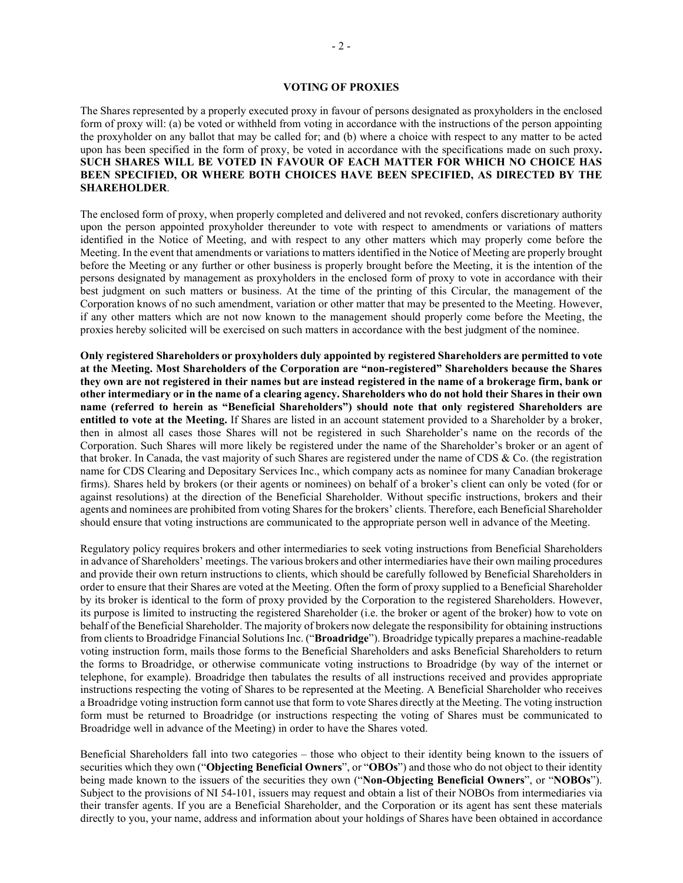# **VOTING OF PROXIES**

<span id="page-6-0"></span>The Shares represented by a properly executed proxy in favour of persons designated as proxyholders in the enclosed form of proxy will: (a) be voted or withheld from voting in accordance with the instructions of the person appointing the proxyholder on any ballot that may be called for; and (b) where a choice with respect to any matter to be acted upon has been specified in the form of proxy, be voted in accordance with the specifications made on such proxy**. SUCH SHARES WILL BE VOTED IN FAVOUR OF EACH MATTER FOR WHICH NO CHOICE HAS BEEN SPECIFIED, OR WHERE BOTH CHOICES HAVE BEEN SPECIFIED, AS DIRECTED BY THE SHAREHOLDER**.

The enclosed form of proxy, when properly completed and delivered and not revoked, confers discretionary authority upon the person appointed proxyholder thereunder to vote with respect to amendments or variations of matters identified in the Notice of Meeting, and with respect to any other matters which may properly come before the Meeting. In the event that amendments or variations to matters identified in the Notice of Meeting are properly brought before the Meeting or any further or other business is properly brought before the Meeting, it is the intention of the persons designated by management as proxyholders in the enclosed form of proxy to vote in accordance with their best judgment on such matters or business. At the time of the printing of this Circular, the management of the Corporation knows of no such amendment, variation or other matter that may be presented to the Meeting. However, if any other matters which are not now known to the management should properly come before the Meeting, the proxies hereby solicited will be exercised on such matters in accordance with the best judgment of the nominee.

**Only registered Shareholders or proxyholders duly appointed by registered Shareholders are permitted to vote at the Meeting. Most Shareholders of the Corporation are "non-registered" Shareholders because the Shares they own are not registered in their names but are instead registered in the name of a brokerage firm, bank or other intermediary or in the name of a clearing agency. Shareholders who do not hold their Shares in their own name (referred to herein as "Beneficial Shareholders") should note that only registered Shareholders are entitled to vote at the Meeting.** If Shares are listed in an account statement provided to a Shareholder by a broker, then in almost all cases those Shares will not be registered in such Shareholder's name on the records of the Corporation. Such Shares will more likely be registered under the name of the Shareholder's broker or an agent of that broker. In Canada, the vast majority of such Shares are registered under the name of CDS & Co. (the registration name for CDS Clearing and Depositary Services Inc., which company acts as nominee for many Canadian brokerage firms). Shares held by brokers (or their agents or nominees) on behalf of a broker's client can only be voted (for or against resolutions) at the direction of the Beneficial Shareholder. Without specific instructions, brokers and their agents and nominees are prohibited from voting Shares for the brokers' clients. Therefore, each Beneficial Shareholder should ensure that voting instructions are communicated to the appropriate person well in advance of the Meeting.

Regulatory policy requires brokers and other intermediaries to seek voting instructions from Beneficial Shareholders in advance of Shareholders' meetings. The various brokers and other intermediaries have their own mailing procedures and provide their own return instructions to clients, which should be carefully followed by Beneficial Shareholders in order to ensure that their Shares are voted at the Meeting. Often the form of proxy supplied to a Beneficial Shareholder by its broker is identical to the form of proxy provided by the Corporation to the registered Shareholders. However, its purpose is limited to instructing the registered Shareholder (i.e. the broker or agent of the broker) how to vote on behalf of the Beneficial Shareholder. The majority of brokers now delegate the responsibility for obtaining instructions from clients to Broadridge Financial Solutions Inc. ("**Broadridge**"). Broadridge typically prepares a machine-readable voting instruction form, mails those forms to the Beneficial Shareholders and asks Beneficial Shareholders to return the forms to Broadridge, or otherwise communicate voting instructions to Broadridge (by way of the internet or telephone, for example). Broadridge then tabulates the results of all instructions received and provides appropriate instructions respecting the voting of Shares to be represented at the Meeting. A Beneficial Shareholder who receives a Broadridge voting instruction form cannot use that form to vote Shares directly at the Meeting. The voting instruction form must be returned to Broadridge (or instructions respecting the voting of Shares must be communicated to Broadridge well in advance of the Meeting) in order to have the Shares voted.

Beneficial Shareholders fall into two categories – those who object to their identity being known to the issuers of securities which they own ("**Objecting Beneficial Owners**", or "**OBOs**") and those who do not object to their identity being made known to the issuers of the securities they own ("**Non-Objecting Beneficial Owners**", or "**NOBOs**"). Subject to the provisions of NI 54-101, issuers may request and obtain a list of their NOBOs from intermediaries via their transfer agents. If you are a Beneficial Shareholder, and the Corporation or its agent has sent these materials directly to you, your name, address and information about your holdings of Shares have been obtained in accordance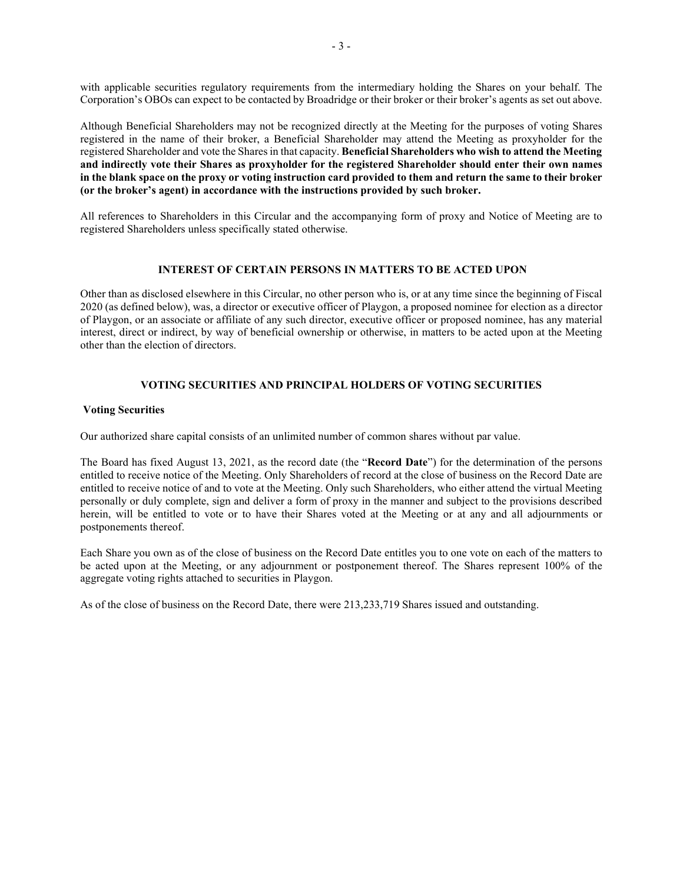with applicable securities regulatory requirements from the intermediary holding the Shares on your behalf. The Corporation's OBOs can expect to be contacted by Broadridge or their broker or their broker's agents as set out above.

Although Beneficial Shareholders may not be recognized directly at the Meeting for the purposes of voting Shares registered in the name of their broker, a Beneficial Shareholder may attend the Meeting as proxyholder for the registered Shareholder and vote the Shares in that capacity. **Beneficial Shareholders who wish to attend the Meeting and indirectly vote their Shares as proxyholder for the registered Shareholder should enter their own names in the blank space on the proxy or voting instruction card provided to them and return the same to their broker (or the broker's agent) in accordance with the instructions provided by such broker.** 

All references to Shareholders in this Circular and the accompanying form of proxy and Notice of Meeting are to registered Shareholders unless specifically stated otherwise.

# <span id="page-7-0"></span>**INTEREST OF CERTAIN PERSONS IN MATTERS TO BE ACTED UPON**

Other than as disclosed elsewhere in this Circular, no other person who is, or at any time since the beginning of Fiscal 2020 (as defined below), was, a director or executive officer of Playgon, a proposed nominee for election as a director of Playgon, or an associate or affiliate of any such director, executive officer or proposed nominee, has any material interest, direct or indirect, by way of beneficial ownership or otherwise, in matters to be acted upon at the Meeting other than the election of directors.

# **VOTING SECURITIES AND PRINCIPAL HOLDERS OF VOTING SECURITIES**

# <span id="page-7-1"></span>**Voting Securities**

Our authorized share capital consists of an unlimited number of common shares without par value.

The Board has fixed August 13, 2021, as the record date (the "**Record Date**") for the determination of the persons entitled to receive notice of the Meeting. Only Shareholders of record at the close of business on the Record Date are entitled to receive notice of and to vote at the Meeting. Only such Shareholders, who either attend the virtual Meeting personally or duly complete, sign and deliver a form of proxy in the manner and subject to the provisions described herein, will be entitled to vote or to have their Shares voted at the Meeting or at any and all adjournments or postponements thereof.

Each Share you own as of the close of business on the Record Date entitles you to one vote on each of the matters to be acted upon at the Meeting, or any adjournment or postponement thereof. The Shares represent 100% of the aggregate voting rights attached to securities in Playgon.

As of the close of business on the Record Date, there were 213,233,719 Shares issued and outstanding.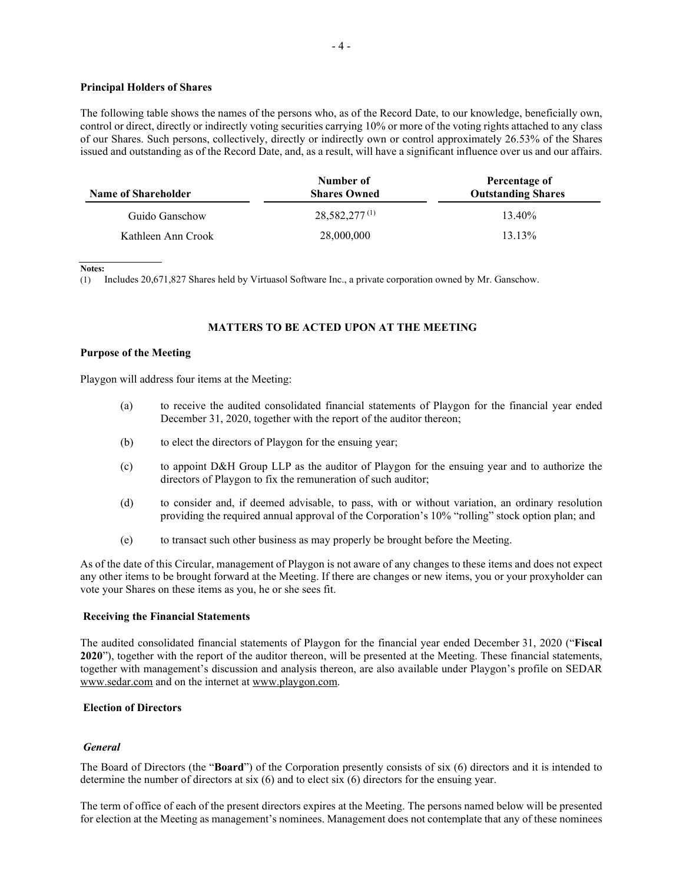# **Principal Holders of Shares**

The following table shows the names of the persons who, as of the Record Date, to our knowledge, beneficially own, control or direct, directly or indirectly voting securities carrying 10% or more of the voting rights attached to any class of our Shares. Such persons, collectively, directly or indirectly own or control approximately 26.53% of the Shares issued and outstanding as of the Record Date, and, as a result, will have a significant influence over us and our affairs.

| <b>Name of Shareholder</b> | Number of<br><b>Shares Owned</b> | Percentage of<br><b>Outstanding Shares</b> |
|----------------------------|----------------------------------|--------------------------------------------|
| Guido Ganschow             | $28,582,277^{(1)}$               | 13.40%                                     |
| Kathleen Ann Crook         | 28,000,000                       | $13.13\%$                                  |

**Notes:** 

(1) Includes 20,671,827 Shares held by Virtuasol Software Inc., a private corporation owned by Mr. Ganschow.

# <span id="page-8-0"></span>**MATTERS TO BE ACTED UPON AT THE MEETING**

#### **Purpose of the Meeting**

Playgon will address four items at the Meeting:

- (a) to receive the audited consolidated financial statements of Playgon for the financial year ended December 31, 2020, together with the report of the auditor thereon;
- (b) to elect the directors of Playgon for the ensuing year;
- (c) to appoint D&H Group LLP as the auditor of Playgon for the ensuing year and to authorize the directors of Playgon to fix the remuneration of such auditor;
- (d) to consider and, if deemed advisable, to pass, with or without variation, an ordinary resolution providing the required annual approval of the Corporation's 10% "rolling" stock option plan; and
- (e) to transact such other business as may properly be brought before the Meeting.

As of the date of this Circular, management of Playgon is not aware of any changes to these items and does not expect any other items to be brought forward at the Meeting. If there are changes or new items, you or your proxyholder can vote your Shares on these items as you, he or she sees fit.

#### **Receiving the Financial Statements**

The audited consolidated financial statements of Playgon for the financial year ended December 31, 2020 ("**Fiscal 2020**"), together with the report of the auditor thereon, will be presented at the Meeting. These financial statements, together with management's discussion and analysis thereon, are also available under Playgon's profile on SEDAR www.sedar.com and on the internet at www.playgon.com.

#### <span id="page-8-1"></span>**Election of Directors**

#### *General*

The Board of Directors (the "**Board**") of the Corporation presently consists of six (6) directors and it is intended to determine the number of directors at six (6) and to elect six (6) directors for the ensuing year.

The term of office of each of the present directors expires at the Meeting. The persons named below will be presented for election at the Meeting as management's nominees. Management does not contemplate that any of these nominees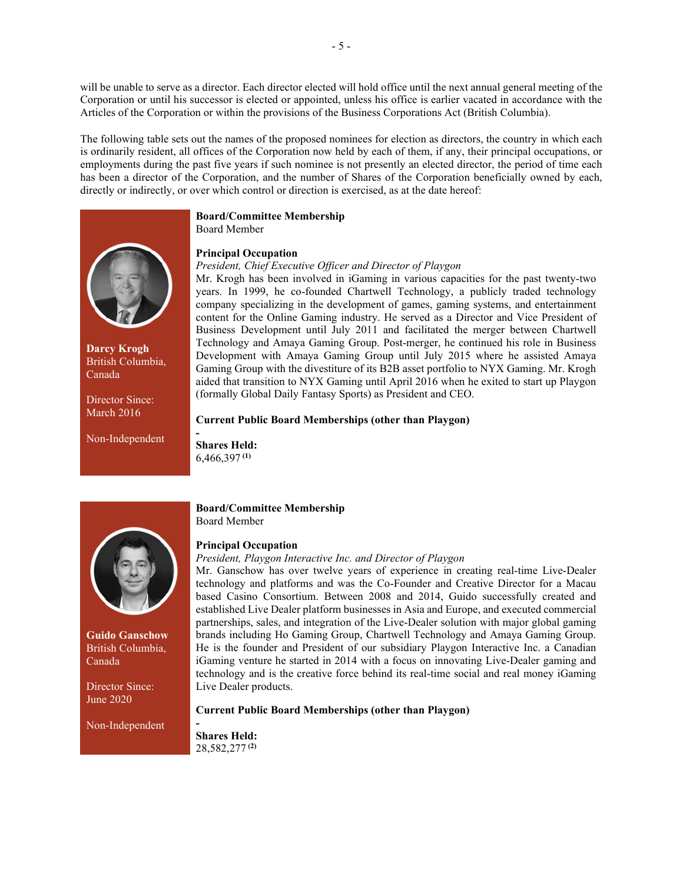will be unable to serve as a director. Each director elected will hold office until the next annual general meeting of the Corporation or until his successor is elected or appointed, unless his office is earlier vacated in accordance with the Articles of the Corporation or within the provisions of the Business Corporations Act (British Columbia).

The following table sets out the names of the proposed nominees for election as directors, the country in which each is ordinarily resident, all offices of the Corporation now held by each of them, if any, their principal occupations, or employments during the past five years if such nominee is not presently an elected director, the period of time each has been a director of the Corporation, and the number of Shares of the Corporation beneficially owned by each, directly or indirectly, or over which control or direction is exercised, as at the date hereof:



**Darcy Krogh** British Columbia, Canada

Director Since: March 2016

Non-Independent

# **Board/Committee Membership**

Board Member

# **Principal Occupation**

# *President, Chief Executive Officer and Director of Playgon*

Mr. Krogh has been involved in iGaming in various capacities for the past twenty-two years. In 1999, he co-founded Chartwell Technology, a publicly traded technology company specializing in the development of games, gaming systems, and entertainment content for the Online Gaming industry. He served as a Director and Vice President of Business Development until July 2011 and facilitated the merger between Chartwell Technology and Amaya Gaming Group. Post-merger, he continued his role in Business Development with Amaya Gaming Group until July 2015 where he assisted Amaya Gaming Group with the divestiture of its B2B asset portfolio to NYX Gaming. Mr. Krogh aided that transition to NYX Gaming until April 2016 when he exited to start up Playgon (formally Global Daily Fantasy Sports) as President and CEO.

# **Current Public Board Memberships (other than Playgon)**

**- Shares Held:** 6,466,397 **(1)**



**Guido Ganschow** British Columbia, Canada

Director Since: June 2020

Non-Independent

# **Board/Committee Membership** Board Member

# **Principal Occupation**

# *President, Playgon Interactive Inc. and Director of Playgon*

Mr. Ganschow has over twelve years of experience in creating real-time Live-Dealer technology and platforms and was the Co-Founder and Creative Director for a Macau based Casino Consortium. Between 2008 and 2014, Guido successfully created and established Live Dealer platform businesses in Asia and Europe, and executed commercial partnerships, sales, and integration of the Live-Dealer solution with major global gaming brands including Ho Gaming Group, Chartwell Technology and Amaya Gaming Group. He is the founder and President of our subsidiary Playgon Interactive Inc. a Canadian iGaming venture he started in 2014 with a focus on innovating Live-Dealer gaming and technology and is the creative force behind its real-time social and real money iGaming Live Dealer products.

# **Current Public Board Memberships (other than Playgon)**

**- Shares Held:** 28,582,277 **(2)**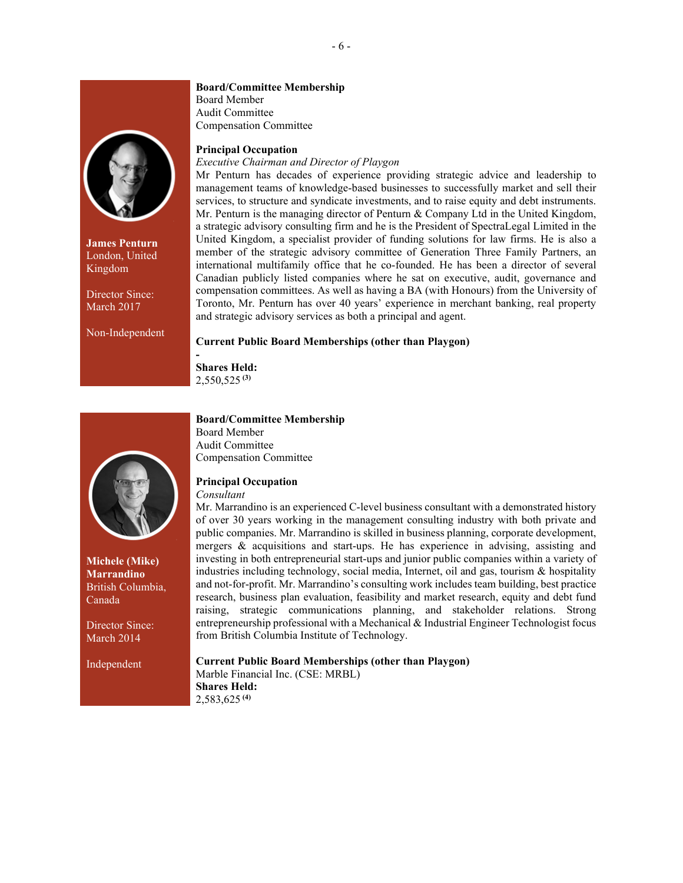

**James Penturn** London, United Kingdom

Director Since: March 2017

Non-Independent

#### **Board/Committee Membership**

Board Member Audit Committee Compensation Committee

# **Principal Occupation**

# *Executive Chairman and Director of Playgon*

Mr Penturn has decades of experience providing strategic advice and leadership to management teams of knowledge-based businesses to successfully market and sell their services, to structure and syndicate investments, and to raise equity and debt instruments. Mr. Penturn is the managing director of Penturn & Company Ltd in the United Kingdom, a strategic advisory consulting firm and he is the President of SpectraLegal Limited in the United Kingdom, a specialist provider of funding solutions for law firms. He is also a member of the strategic advisory committee of Generation Three Family Partners, an international multifamily office that he co-founded. He has been a director of several Canadian publicly listed companies where he sat on executive, audit, governance and compensation committees. As well as having a BA (with Honours) from the University of Toronto, Mr. Penturn has over 40 years' experience in merchant banking, real property and strategic advisory services as both a principal and agent.

#### **Current Public Board Memberships (other than Playgon)**

**- Shares Held:** 2,550,525 **(3)**



**Michele (Mike) Marrandino** British Columbia, Canada

Director Since: March 2014

Independent

# **Board/Committee Membership**

Board Member Audit Committee Compensation Committee

# **Principal Occupation**

#### *Consultant*

Mr. Marrandino is an experienced C-level business consultant with a demonstrated history of over 30 years working in the management consulting industry with both private and public companies. Mr. Marrandino is skilled in business planning, corporate development, mergers & acquisitions and start-ups. He has experience in advising, assisting and investing in both entrepreneurial start-ups and junior public companies within a variety of industries including technology, social media, Internet, oil and gas, tourism & hospitality and not-for-profit. Mr. Marrandino's consulting work includes team building, best practice research, business plan evaluation, feasibility and market research, equity and debt fund raising, strategic communications planning, and stakeholder relations. Strong entrepreneurship professional with a Mechanical & Industrial Engineer Technologist focus from British Columbia Institute of Technology.

# **Current Public Board Memberships (other than Playgon)**

Marble Financial Inc. (CSE: MRBL) **Shares Held:** 2,583,625 **(4)**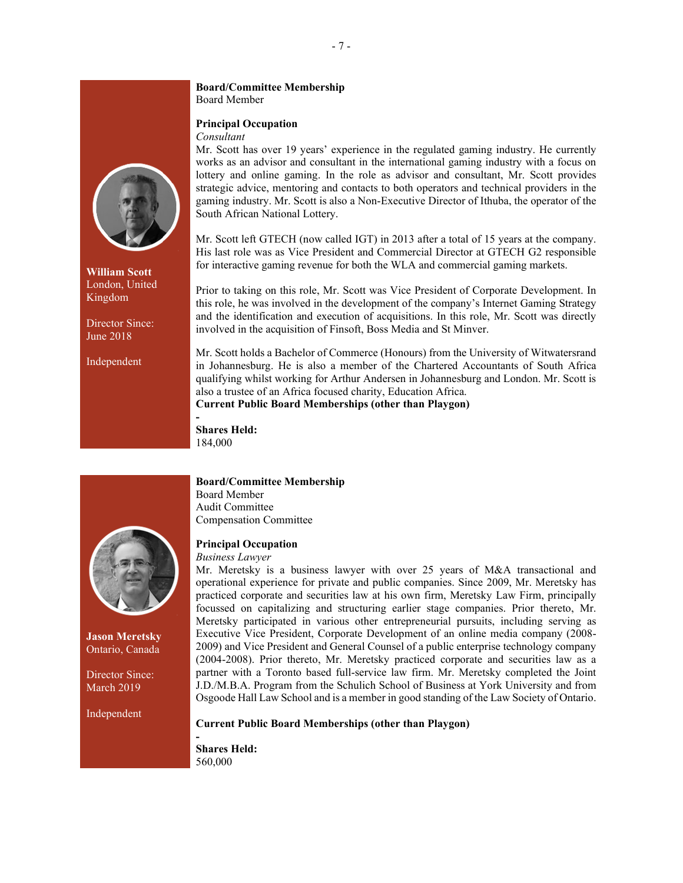# **Board/Committee Membership** Board Member

# **Principal Occupation**

# *Consultant*

Mr. Scott has over 19 years' experience in the regulated gaming industry. He currently works as an advisor and consultant in the international gaming industry with a focus on lottery and online gaming. In the role as advisor and consultant, Mr. Scott provides strategic advice, mentoring and contacts to both operators and technical providers in the gaming industry. Mr. Scott is also a Non-Executive Director of Ithuba, the operator of the South African National Lottery.

Mr. Scott left GTECH (now called IGT) in 2013 after a total of 15 years at the company. His last role was as Vice President and Commercial Director at GTECH G2 responsible for interactive gaming revenue for both the WLA and commercial gaming markets.

Prior to taking on this role, Mr. Scott was Vice President of Corporate Development. In this role, he was involved in the development of the company's Internet Gaming Strategy and the identification and execution of acquisitions. In this role, Mr. Scott was directly involved in the acquisition of Finsoft, Boss Media and St Minver.

Mr. Scott holds a Bachelor of Commerce (Honours) from the University of Witwatersrand in Johannesburg. He is also a member of the Chartered Accountants of South Africa qualifying whilst working for Arthur Andersen in Johannesburg and London. Mr. Scott is also a trustee of an Africa focused charity, Education Africa.

**Current Public Board Memberships (other than Playgon)**

**Shares Held:** 184,000

**-**

**Jason Meretsky** Ontario, Canada

Director Since: March 2019

Independent

# **Board/Committee Membership**

Board Member Audit Committee Compensation Committee

# **Principal Occupation**

# *Business Lawyer*

Mr. Meretsky is a business lawyer with over 25 years of M&A transactional and operational experience for private and public companies. Since 2009, Mr. Meretsky has practiced corporate and securities law at his own firm, Meretsky Law Firm, principally focussed on capitalizing and structuring earlier stage companies. Prior thereto, Mr. Meretsky participated in various other entrepreneurial pursuits, including serving as Executive Vice President, Corporate Development of an online media company (2008- 2009) and Vice President and General Counsel of a public enterprise technology company (2004-2008). Prior thereto, Mr. Meretsky practiced corporate and securities law as a partner with a Toronto based full-service law firm. Mr. Meretsky completed the Joint J.D./M.B.A. Program from the Schulich School of Business at York University and from Osgoode Hall Law School and is a member in good standing of the Law Society of Ontario.

# **Current Public Board Memberships (other than Playgon)**

**- Shares Held:** 560,000



**William Scott** London, United Kingdom

Director Since: June 2018

Independent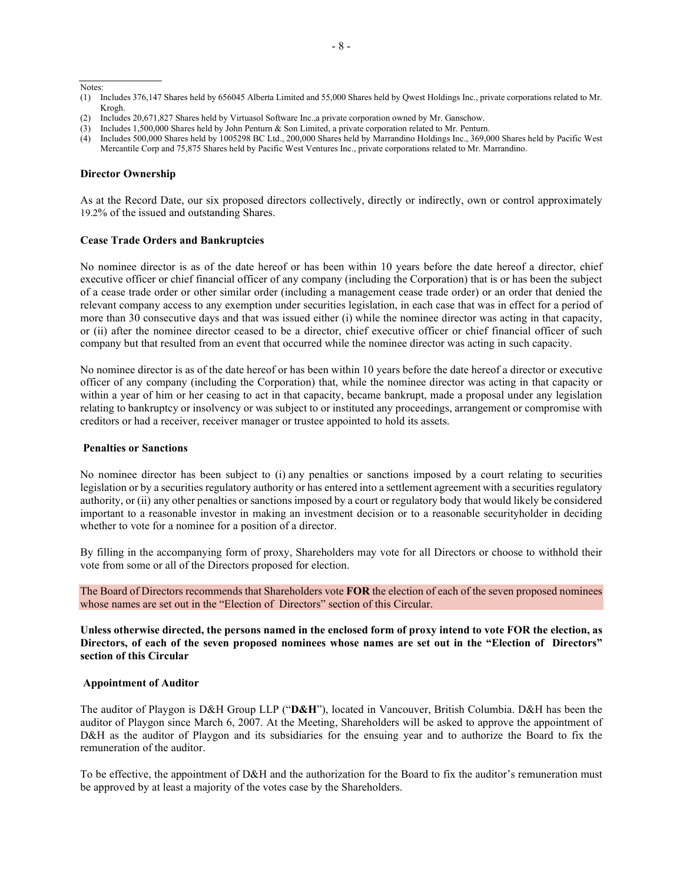Notes:

- (2) Includes 20,671,827 Shares held by Virtuasol Software Inc.,a private corporation owned by Mr. Ganschow.
- (3) Includes 1,500,000 Shares held by John Penturn & Son Limited, a private corporation related to Mr. Penturn.

#### **Director Ownership**

As at the Record Date, our six proposed directors collectively, directly or indirectly, own or control approximately 19.2% of the issued and outstanding Shares.

#### **Cease Trade Orders and Bankruptcies**

No nominee director is as of the date hereof or has been within 10 years before the date hereof a director, chief executive officer or chief financial officer of any company (including the Corporation) that is or has been the subject of a cease trade order or other similar order (including a management cease trade order) or an order that denied the relevant company access to any exemption under securities legislation, in each case that was in effect for a period of more than 30 consecutive days and that was issued either (i) while the nominee director was acting in that capacity, or (ii) after the nominee director ceased to be a director, chief executive officer or chief financial officer of such company but that resulted from an event that occurred while the nominee director was acting in such capacity.

No nominee director is as of the date hereof or has been within 10 years before the date hereof a director or executive officer of any company (including the Corporation) that, while the nominee director was acting in that capacity or within a year of him or her ceasing to act in that capacity, became bankrupt, made a proposal under any legislation relating to bankruptcy or insolvency or was subject to or instituted any proceedings, arrangement or compromise with creditors or had a receiver, receiver manager or trustee appointed to hold its assets.

# **Penalties or Sanctions**

No nominee director has been subject to (i) any penalties or sanctions imposed by a court relating to securities legislation or by a securities regulatory authority or has entered into a settlement agreement with a securities regulatory authority, or (ii) any other penalties or sanctions imposed by a court or regulatory body that would likely be considered important to a reasonable investor in making an investment decision or to a reasonable securityholder in deciding whether to vote for a nominee for a position of a director.

By filling in the accompanying form of proxy, Shareholders may vote for all Directors or choose to withhold their vote from some or all of the Directors proposed for election.

The Board of Directors recommends that Shareholders vote **FOR** the election of each of the seven proposed nominees whose names are set out in the "Election of Directors" section of this Circular.

**Unless otherwise directed, the persons named in the enclosed form of proxy intend to vote FOR the election, as Directors, of each of the seven proposed nominees whose names are set out in the "Election of Directors" section of this Circular**

#### **Appointment of Auditor**

The auditor of Playgon is D&H Group LLP ("**D&H**"), located in Vancouver, British Columbia. D&H has been the auditor of Playgon since March 6, 2007. At the Meeting, Shareholders will be asked to approve the appointment of D&H as the auditor of Playgon and its subsidiaries for the ensuing year and to authorize the Board to fix the remuneration of the auditor.

To be effective, the appointment of D&H and the authorization for the Board to fix the auditor's remuneration must be approved by at least a majority of the votes case by the Shareholders.

<sup>(1)</sup> Includes 376,147 Shares held by 656045 Alberta Limited and 55,000 Shares held by Qwest Holdings Inc., private corporations related to Mr. Krogh.

<sup>(4)</sup> Includes 500,000 Shares held by 1005298 BC Ltd., 200,000 Shares held by Marrandino Holdings Inc., 369,000 Shares held by Pacific West Mercantile Corp and 75,875 Shares held by Pacific West Ventures Inc., private corporations related to Mr. Marrandino.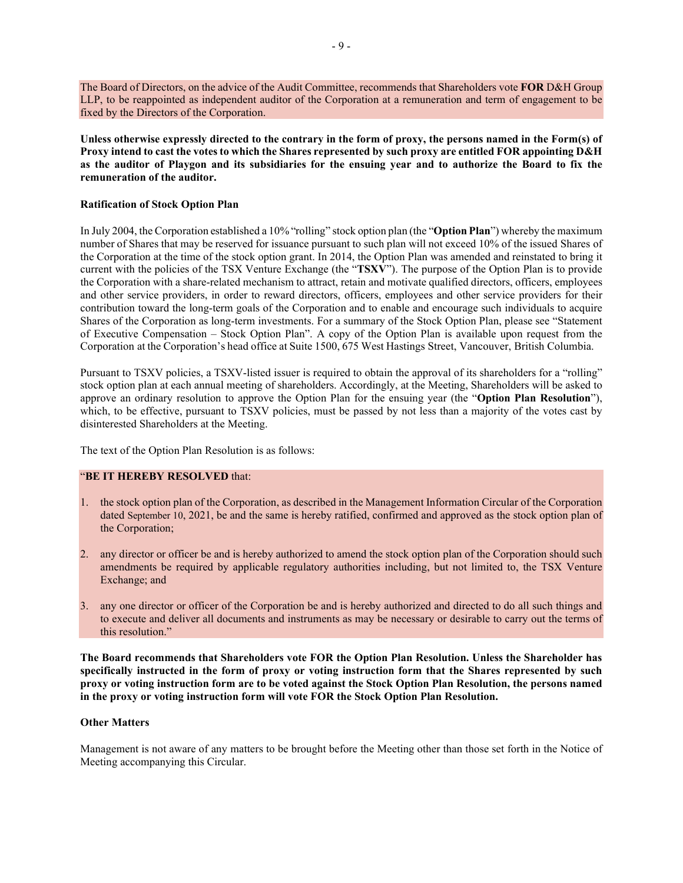The Board of Directors, on the advice of the Audit Committee, recommends that Shareholders vote **FOR** D&H Group LLP, to be reappointed as independent auditor of the Corporation at a remuneration and term of engagement to be fixed by the Directors of the Corporation.

**Unless otherwise expressly directed to the contrary in the form of proxy, the persons named in the Form(s) of Proxy intend to cast the votes to which the Shares represented by such proxy are entitled FOR appointing D&H as the auditor of Playgon and its subsidiaries for the ensuing year and to authorize the Board to fix the remuneration of the auditor.** 

# **Ratification of Stock Option Plan**

In July 2004, the Corporation established a 10% "rolling" stock option plan (the "**Option Plan**") whereby the maximum number of Shares that may be reserved for issuance pursuant to such plan will not exceed 10% of the issued Shares of the Corporation at the time of the stock option grant. In 2014, the Option Plan was amended and reinstated to bring it current with the policies of the TSX Venture Exchange (the "**TSXV**"). The purpose of the Option Plan is to provide the Corporation with a share-related mechanism to attract, retain and motivate qualified directors, officers, employees and other service providers, in order to reward directors, officers, employees and other service providers for their contribution toward the long-term goals of the Corporation and to enable and encourage such individuals to acquire Shares of the Corporation as long-term investments. For a summary of the Stock Option Plan, please see "Statement of Executive Compensation – Stock Option Plan". A copy of the Option Plan is available upon request from the Corporation at the Corporation's head office at Suite 1500, 675 West Hastings Street, Vancouver, British Columbia.

Pursuant to TSXV policies, a TSXV-listed issuer is required to obtain the approval of its shareholders for a "rolling" stock option plan at each annual meeting of shareholders. Accordingly, at the Meeting, Shareholders will be asked to approve an ordinary resolution to approve the Option Plan for the ensuing year (the "**Option Plan Resolution**"), which, to be effective, pursuant to TSXV policies, must be passed by not less than a majority of the votes cast by disinterested Shareholders at the Meeting.

The text of the Option Plan Resolution is as follows:

# "**BE IT HEREBY RESOLVED** that:

- 1. the stock option plan of the Corporation, as described in the Management Information Circular of the Corporation dated September 10, 2021, be and the same is hereby ratified, confirmed and approved as the stock option plan of the Corporation;
- 2. any director or officer be and is hereby authorized to amend the stock option plan of the Corporation should such amendments be required by applicable regulatory authorities including, but not limited to, the TSX Venture Exchange; and
- 3. any one director or officer of the Corporation be and is hereby authorized and directed to do all such things and to execute and deliver all documents and instruments as may be necessary or desirable to carry out the terms of this resolution."

**The Board recommends that Shareholders vote FOR the Option Plan Resolution. Unless the Shareholder has specifically instructed in the form of proxy or voting instruction form that the Shares represented by such proxy or voting instruction form are to be voted against the Stock Option Plan Resolution, the persons named in the proxy or voting instruction form will vote FOR the Stock Option Plan Resolution.**

# **Other Matters**

Management is not aware of any matters to be brought before the Meeting other than those set forth in the Notice of Meeting accompanying this Circular.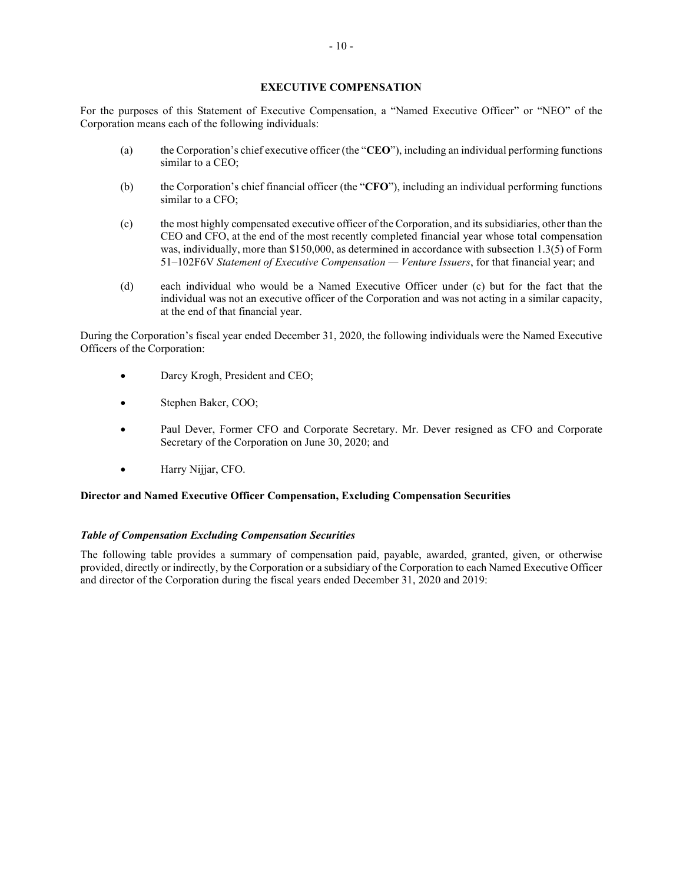# **EXECUTIVE COMPENSATION**

<span id="page-14-0"></span>For the purposes of this Statement of Executive Compensation, a "Named Executive Officer" or "NEO" of the Corporation means each of the following individuals:

- (a) the Corporation's chief executive officer (the "**CEO**"), including an individual performing functions similar to a CEO;
- (b) the Corporation's chief financial officer (the "**CFO**"), including an individual performing functions similar to a CFO;
- (c) the most highly compensated executive officer of the Corporation, and itssubsidiaries, other than the CEO and CFO, at the end of the most recently completed financial year whose total compensation was, individually, more than \$150,000, as determined in accordance with subsection 1.3(5) of Form 51–102F6V *Statement of Executive Compensation — Venture Issuers*, for that financial year; and
- (d) each individual who would be a Named Executive Officer under (c) but for the fact that the individual was not an executive officer of the Corporation and was not acting in a similar capacity, at the end of that financial year.

During the Corporation's fiscal year ended December 31, 2020, the following individuals were the Named Executive Officers of the Corporation:

- Darcy Krogh, President and CEO;
- Stephen Baker, COO;
- Paul Dever, Former CFO and Corporate Secretary. Mr. Dever resigned as CFO and Corporate Secretary of the Corporation on June 30, 2020; and
- Harry Nijjar, CFO.

# **Director and Named Executive Officer Compensation, Excluding Compensation Securities**

# *Table of Compensation Excluding Compensation Securities*

The following table provides a summary of compensation paid, payable, awarded, granted, given, or otherwise provided, directly or indirectly, by the Corporation or a subsidiary of the Corporation to each Named Executive Officer and director of the Corporation during the fiscal years ended December 31, 2020 and 2019: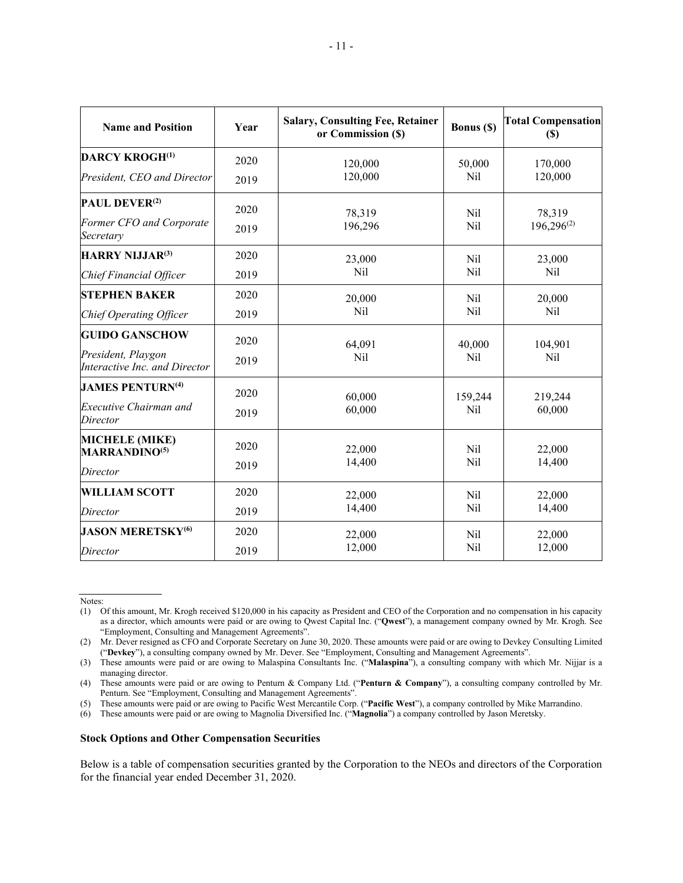| <b>Name and Position</b>                            | Year | <b>Salary, Consulting Fee, Retainer</b><br>or Commission (\$) | Bonus (\$)           | <b>Total Compensation</b><br>(S) |  |
|-----------------------------------------------------|------|---------------------------------------------------------------|----------------------|----------------------------------|--|
| <b>DARCY KROGH(1)</b>                               | 2020 | 120,000                                                       | 50,000               | 170,000                          |  |
| President, CEO and Director                         | 2019 | 120,000                                                       | Nil                  | 120,000                          |  |
| <b>PAUL DEVER<sup>(2)</sup></b>                     | 2020 | 78,319                                                        | Nil<br>Nil           | 78,319<br>$196,296^{(2)}$        |  |
| Former CFO and Corporate<br>Secretary               | 2019 | 196,296                                                       |                      |                                  |  |
| <b>HARRY NIJJAR(3)</b>                              | 2020 | 23,000                                                        | Nil                  | 23,000                           |  |
| Chief Financial Officer                             | 2019 | Nil                                                           | Nil                  | Nil                              |  |
| <b>STEPHEN BAKER</b>                                | 2020 | 20,000                                                        | Nil<br>Nil           | 20,000<br>Nil                    |  |
| Chief Operating Officer                             | 2019 | Nil                                                           |                      |                                  |  |
| <b>GUIDO GANSCHOW</b>                               | 2020 | 64,091                                                        | 40,000<br><b>Nil</b> | 104,901<br><b>Nil</b>            |  |
| President, Playgon<br>Interactive Inc. and Director | 2019 | <b>Nil</b>                                                    |                      |                                  |  |
| <b>JAMES PENTURN(4)</b>                             | 2020 | 60,000                                                        | 159,244              | 219,244                          |  |
| <b>Executive Chairman and</b><br>Director           | 2019 | 60,000                                                        | Nil                  | 60,000                           |  |
| <b>MICHELE (MIKE)</b><br><b>MARRANDINO(5)</b>       | 2020 | 22,000<br>14,400                                              | Nil<br>Nil           | 22,000<br>14,400                 |  |
| Director                                            | 2019 |                                                               |                      |                                  |  |
| <b>WILLIAM SCOTT</b>                                | 2020 | 22,000                                                        | Nil<br>Nil           | 22,000                           |  |
| Director                                            | 2019 | 14,400                                                        |                      | 14,400                           |  |
| <b>JASON MERETSKY</b> <sup>(6)</sup>                | 2020 | 22,000                                                        | Nil                  | 22,000                           |  |
| Director                                            | 2019 | 12,000                                                        | Nil                  | 12,000                           |  |

Notes:

#### **Stock Options and Other Compensation Securities**

Below is a table of compensation securities granted by the Corporation to the NEOs and directors of the Corporation for the financial year ended December 31, 2020.

<sup>(1)</sup> Of this amount, Mr. Krogh received \$120,000 in his capacity as President and CEO of the Corporation and no compensation in his capacity as a director, which amounts were paid or are owing to Qwest Capital Inc. ("**Qwest**"), a management company owned by Mr. Krogh. See ["Employment, Consulting and Management Agreements"](#page-18-0).

<sup>(2)</sup> Mr. Dever resigned as CFO and Corporate Secretary on June 30, 2020. These amounts were paid or are owing to Devkey Consulting Limited ("**Devkey**"), a consulting company owned by Mr. Dever. See ["Employment, Consulting and Management Agreements"](#page-18-0).

<sup>(3)</sup> These amounts were paid or are owing to Malaspina Consultants Inc. ("**Malaspina**"), a consulting company with which Mr. Nijjar is a managing director.

<sup>(4)</sup> These amounts were paid or are owing to Penturn & Company Ltd. ("**Penturn & Company**"), a consulting company controlled by Mr. Penturn. See ["Employment, Consulting and Management Agreements"](#page-18-0).

<sup>(5)</sup> These amounts were paid or are owing to Pacific West Mercantile Corp. ("**Pacific West**"), a company controlled by Mike Marrandino.

<sup>(6)</sup> These amounts were paid or are owing to Magnolia Diversified Inc. ("**Magnolia**") a company controlled by Jason Meretsky.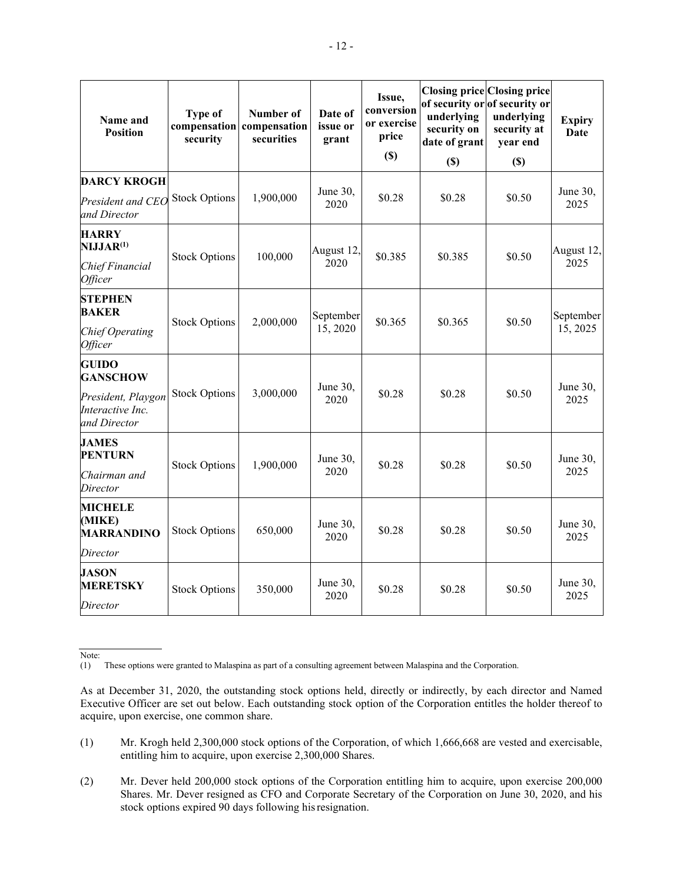| Name and<br><b>Position</b>                                                               | Type of<br>security  | Number of<br>compensation compensation<br>securities | Date of<br>issue or<br>grant | Issue,<br>conversion<br>or exercise<br>price<br>$(\$)$ | <b>Closing price Closing price</b><br>underlying<br>security on<br>date of grant<br>$(\$)$ | of security or of security or<br>underlying<br>security at<br>year end<br>$(\$)$ | <b>Expiry</b><br>Date |
|-------------------------------------------------------------------------------------------|----------------------|------------------------------------------------------|------------------------------|--------------------------------------------------------|--------------------------------------------------------------------------------------------|----------------------------------------------------------------------------------|-----------------------|
| <b>DARCY KROGH</b><br>President and CEO<br>and Director                                   | <b>Stock Options</b> | 1,900,000                                            | June 30,<br>2020             | \$0.28                                                 | \$0.28                                                                                     | \$0.50                                                                           | June 30,<br>2025      |
| <b>HARRY</b><br>NIJJAR <sup>(1)</sup><br>Chief Financial<br>Officer                       | <b>Stock Options</b> | 100,000                                              | August 12,<br>2020           | \$0.385                                                | \$0.385                                                                                    | \$0.50                                                                           | August 12,<br>2025    |
| <b>STEPHEN</b><br><b>BAKER</b><br><b>Chief Operating</b><br><b>Officer</b>                | <b>Stock Options</b> | 2,000,000                                            | September<br>15, 2020        | \$0.365                                                | \$0.365                                                                                    | \$0.50                                                                           | September<br>15, 2025 |
| <b>GUIDO</b><br><b>GANSCHOW</b><br>President, Playgon<br>Interactive Inc.<br>and Director | <b>Stock Options</b> | 3,000,000                                            | June 30,<br>2020             | \$0.28                                                 | \$0.28                                                                                     | \$0.50                                                                           | June 30,<br>2025      |
| <b>JAMES</b><br><b>PENTURN</b><br>Chairman and<br>Director                                | <b>Stock Options</b> | 1,900,000                                            | June 30,<br>2020             | \$0.28                                                 | \$0.28                                                                                     | \$0.50                                                                           | June 30,<br>2025      |
| <b>MICHELE</b><br>(MIKE)<br><b>MARRANDINO</b><br>Director                                 | <b>Stock Options</b> | 650,000                                              | June 30,<br>2020             | \$0.28                                                 | \$0.28                                                                                     | \$0.50                                                                           | June 30,<br>2025      |
| <b>JASON</b><br><b>MERETSKY</b><br>Director                                               | <b>Stock Options</b> | 350,000                                              | June 30,<br>2020             | \$0.28                                                 | \$0.28                                                                                     | \$0.50                                                                           | June 30,<br>2025      |

Note:

- (1) Mr. Krogh held 2,300,000 stock options of the Corporation, of which 1,666,668 are vested and exercisable, entitling him to acquire, upon exercise 2,300,000 Shares.
- (2) Mr. Dever held 200,000 stock options of the Corporation entitling him to acquire, upon exercise 200,000 Shares. Mr. Dever resigned as CFO and Corporate Secretary of the Corporation on June 30, 2020, and his stock options expired 90 days following hisresignation.

<sup>(1)</sup> These options were granted to Malaspina as part of a consulting agreement between Malaspina and the Corporation.

As at December 31, 2020, the outstanding stock options held, directly or indirectly, by each director and Named Executive Officer are set out below. Each outstanding stock option of the Corporation entitles the holder thereof to acquire, upon exercise, one common share.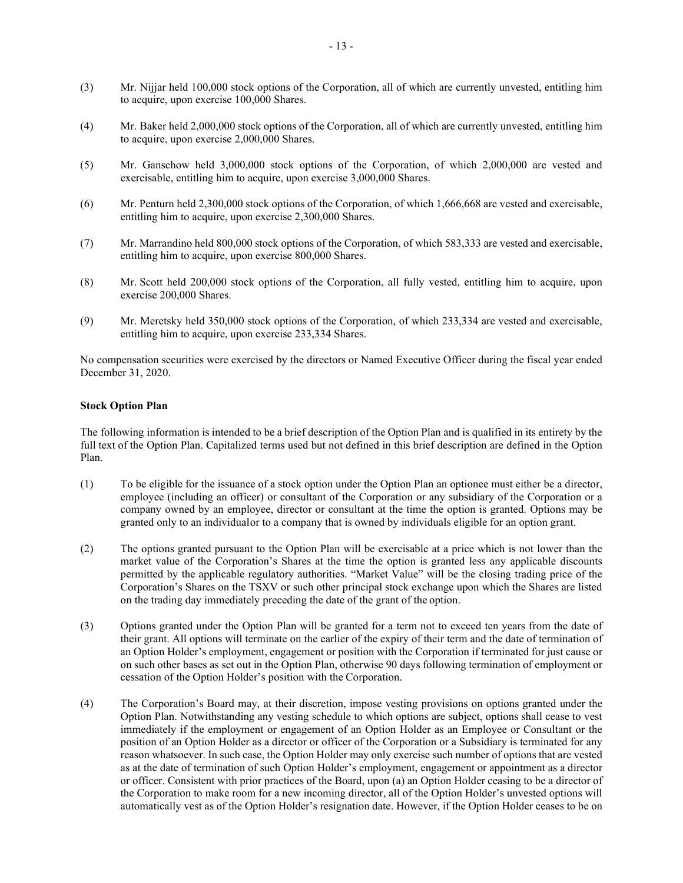- (3) Mr. Nijjar held 100,000 stock options of the Corporation, all of which are currently unvested, entitling him to acquire, upon exercise 100,000 Shares.
- (4) Mr. Baker held 2,000,000 stock options of the Corporation, all of which are currently unvested, entitling him to acquire, upon exercise 2,000,000 Shares.
- (5) Mr. Ganschow held 3,000,000 stock options of the Corporation, of which 2,000,000 are vested and exercisable, entitling him to acquire, upon exercise 3,000,000 Shares.
- (6) Mr. Penturn held 2,300,000 stock options of the Corporation, of which 1,666,668 are vested and exercisable, entitling him to acquire, upon exercise 2,300,000 Shares.
- (7) Mr. Marrandino held 800,000 stock options of the Corporation, of which 583,333 are vested and exercisable, entitling him to acquire, upon exercise 800,000 Shares.
- (8) Mr. Scott held 200,000 stock options of the Corporation, all fully vested, entitling him to acquire, upon exercise 200,000 Shares.
- (9) Mr. Meretsky held 350,000 stock options of the Corporation, of which 233,334 are vested and exercisable, entitling him to acquire, upon exercise 233,334 Shares.

No compensation securities were exercised by the directors or Named Executive Officer during the fiscal year ended December 31, 2020.

# **Stock Option Plan**

The following information is intended to be a brief description of the Option Plan and is qualified in its entirety by the full text of the Option Plan. Capitalized terms used but not defined in this brief description are defined in the Option Plan.

- (1) To be eligible for the issuance of a stock option under the Option Plan an optionee must either be a director, employee (including an officer) or consultant of the Corporation or any subsidiary of the Corporation or a company owned by an employee, director or consultant at the time the option is granted. Options may be granted only to an individualor to a company that is owned by individuals eligible for an option grant.
- (2) The options granted pursuant to the Option Plan will be exercisable at a price which is not lower than the market value of the Corporation's Shares at the time the option is granted less any applicable discounts permitted by the applicable regulatory authorities. "Market Value" will be the closing trading price of the Corporation's Shares on the TSXV or such other principal stock exchange upon which the Shares are listed on the trading day immediately preceding the date of the grant of the option.
- (3) Options granted under the Option Plan will be granted for a term not to exceed ten years from the date of their grant. All options will terminate on the earlier of the expiry of their term and the date of termination of an Option Holder's employment, engagement or position with the Corporation if terminated for just cause or on such other bases as set out in the Option Plan, otherwise 90 days following termination of employment or cessation of the Option Holder's position with the Corporation.
- (4) The Corporation's Board may, at their discretion, impose vesting provisions on options granted under the Option Plan. Notwithstanding any vesting schedule to which options are subject, options shall cease to vest immediately if the employment or engagement of an Option Holder as an Employee or Consultant or the position of an Option Holder as a director or officer of the Corporation or a Subsidiary is terminated for any reason whatsoever. In such case, the Option Holder may only exercise such number of options that are vested as at the date of termination of such Option Holder's employment, engagement or appointment as a director or officer. Consistent with prior practices of the Board, upon (a) an Option Holder ceasing to be a director of the Corporation to make room for a new incoming director, all of the Option Holder's unvested options will automatically vest as of the Option Holder's resignation date. However, if the Option Holder ceases to be on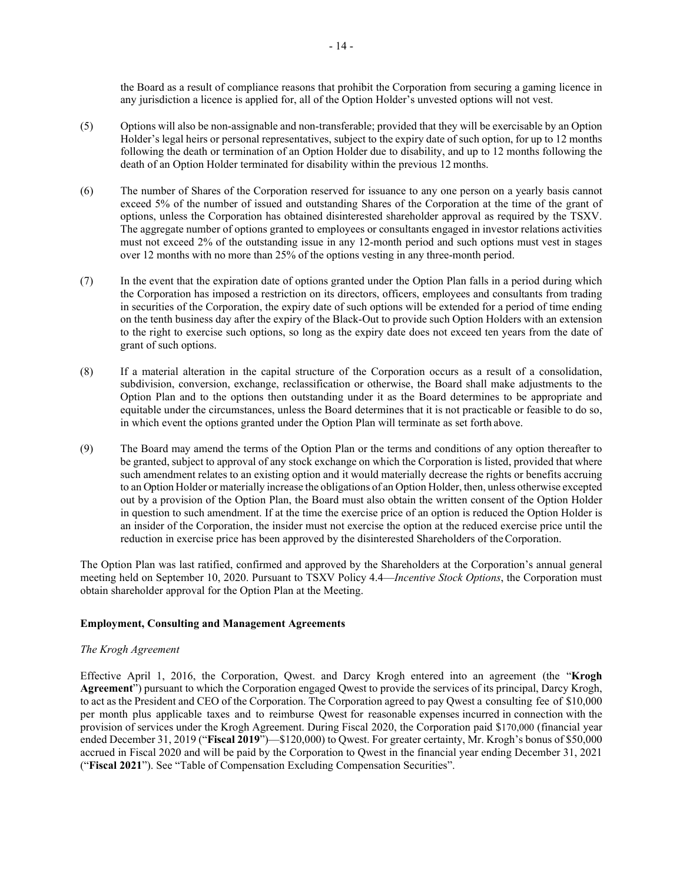the Board as a result of compliance reasons that prohibit the Corporation from securing a gaming licence in any jurisdiction a licence is applied for, all of the Option Holder's unvested options will not vest.

- (5) Options will also be non-assignable and non-transferable; provided that they will be exercisable by an Option Holder's legal heirs or personal representatives, subject to the expiry date of such option, for up to 12 months following the death or termination of an Option Holder due to disability, and up to 12 months following the death of an Option Holder terminated for disability within the previous 12 months.
- (6) The number of Shares of the Corporation reserved for issuance to any one person on a yearly basis cannot exceed 5% of the number of issued and outstanding Shares of the Corporation at the time of the grant of options, unless the Corporation has obtained disinterested shareholder approval as required by the TSXV. The aggregate number of options granted to employees or consultants engaged in investor relations activities must not exceed 2% of the outstanding issue in any 12-month period and such options must vest in stages over 12 months with no more than 25% of the options vesting in any three-month period.
- (7) In the event that the expiration date of options granted under the Option Plan falls in a period during which the Corporation has imposed a restriction on its directors, officers, employees and consultants from trading in securities of the Corporation, the expiry date of such options will be extended for a period of time ending on the tenth business day after the expiry of the Black-Out to provide such Option Holders with an extension to the right to exercise such options, so long as the expiry date does not exceed ten years from the date of grant of such options.
- (8) If a material alteration in the capital structure of the Corporation occurs as a result of a consolidation, subdivision, conversion, exchange, reclassification or otherwise, the Board shall make adjustments to the Option Plan and to the options then outstanding under it as the Board determines to be appropriate and equitable under the circumstances, unless the Board determines that it is not practicable or feasible to do so, in which event the options granted under the Option Plan will terminate as set forth above.
- (9) The Board may amend the terms of the Option Plan or the terms and conditions of any option thereafter to be granted, subject to approval of any stock exchange on which the Corporation is listed, provided that where such amendment relates to an existing option and it would materially decrease the rights or benefits accruing to an Option Holder or materially increase the obligations of an Option Holder, then, unless otherwise excepted out by a provision of the Option Plan, the Board must also obtain the written consent of the Option Holder in question to such amendment. If at the time the exercise price of an option is reduced the Option Holder is an insider of the Corporation, the insider must not exercise the option at the reduced exercise price until the reduction in exercise price has been approved by the disinterested Shareholders of the Corporation.

<span id="page-18-0"></span>The Option Plan was last ratified, confirmed and approved by the Shareholders at the Corporation's annual general meeting held on September 10, 2020. Pursuant to TSXV Policy 4.4—*Incentive Stock Options*, the Corporation must obtain shareholder approval for the Option Plan at the Meeting.

# **Employment, Consulting and Management Agreements**

# *The Krogh Agreement*

Effective April 1, 2016, the Corporation, Qwest. and Darcy Krogh entered into an agreement (the "**Krogh Agreement**") pursuant to which the Corporation engaged Qwest to provide the services of its principal, Darcy Krogh, to act as the President and CEO of the Corporation. The Corporation agreed to pay Qwest a consulting fee of \$10,000 per month plus applicable taxes and to reimburse Qwest for reasonable expenses incurred in connection with the provision of services under the Krogh Agreement. During Fiscal 2020, the Corporation paid \$170,000 (financial year ended December 31, 2019 ("**Fiscal 2019**")—\$120,000) to Qwest. For greater certainty, Mr. Krogh's bonus of \$50,000 accrued in Fiscal 2020 and will be paid by the Corporation to Qwest in the financial year ending December 31, 2021 ("**Fiscal 2021**"). See "Table of Compensation Excluding Compensation Securities".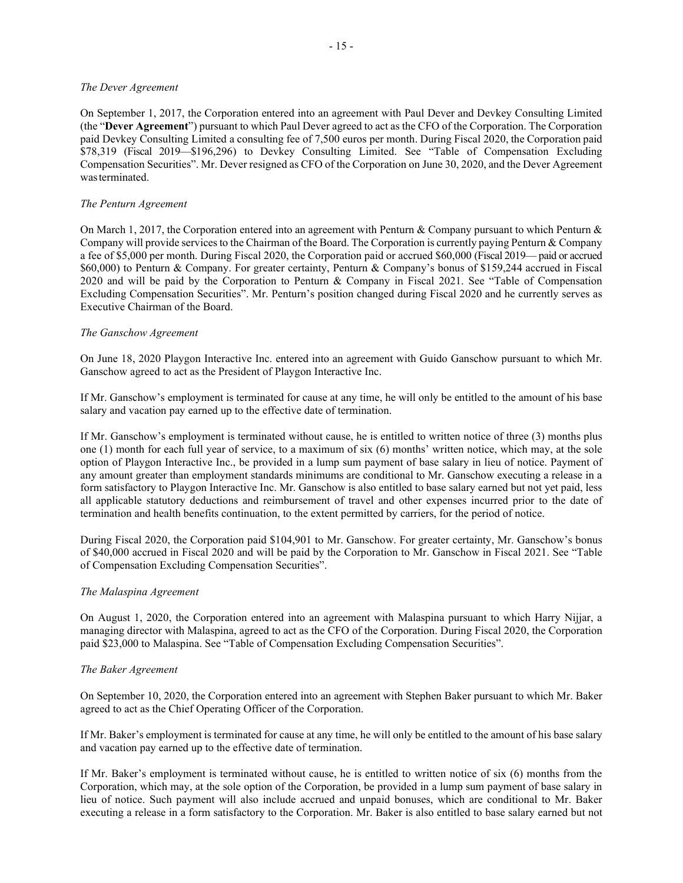#### *The Dever Agreement*

On September 1, 2017, the Corporation entered into an agreement with Paul Dever and Devkey Consulting Limited (the "**Dever Agreement**") pursuant to which Paul Dever agreed to act as the CFO of the Corporation. The Corporation paid Devkey Consulting Limited a consulting fee of 7,500 euros per month. During Fiscal 2020, the Corporation paid \$78,319 (Fiscal 2019—\$196,296) to Devkey Consulting Limited. See "Table of Compensation Excluding Compensation Securities". Mr. Dever resigned as CFO of the Corporation on June 30, 2020, and the Dever Agreement wasterminated.

# *The Penturn Agreement*

On March 1, 2017, the Corporation entered into an agreement with Penturn & Company pursuant to which Penturn & Company will provide services to the Chairman of the Board. The Corporation is currently paying Penturn & Company a fee of \$5,000 per month. During Fiscal 2020, the Corporation paid or accrued \$60,000 (Fiscal 2019— paid or accrued \$60,000) to Penturn & Company. For greater certainty, Penturn & Company's bonus of \$159,244 accrued in Fiscal 2020 and will be paid by the Corporation to Penturn & Company in Fiscal 2021. See "Table of Compensation Excluding Compensation Securities". Mr. Penturn's position changed during Fiscal 2020 and he currently serves as Executive Chairman of the Board.

# *The Ganschow Agreement*

On June 18, 2020 Playgon Interactive Inc. entered into an agreement with Guido Ganschow pursuant to which Mr. Ganschow agreed to act as the President of Playgon Interactive Inc.

If Mr. Ganschow's employment is terminated for cause at any time, he will only be entitled to the amount of his base salary and vacation pay earned up to the effective date of termination.

If Mr. Ganschow's employment is terminated without cause, he is entitled to written notice of three (3) months plus one (1) month for each full year of service, to a maximum of six (6) months' written notice, which may, at the sole option of Playgon Interactive Inc., be provided in a lump sum payment of base salary in lieu of notice. Payment of any amount greater than employment standards minimums are conditional to Mr. Ganschow executing a release in a form satisfactory to Playgon Interactive Inc. Mr. Ganschow is also entitled to base salary earned but not yet paid, less all applicable statutory deductions and reimbursement of travel and other expenses incurred prior to the date of termination and health benefits continuation, to the extent permitted by carriers, for the period of notice.

During Fiscal 2020, the Corporation paid \$104,901 to Mr. Ganschow. For greater certainty, Mr. Ganschow's bonus of \$40,000 accrued in Fiscal 2020 and will be paid by the Corporation to Mr. Ganschow in Fiscal 2021. See "Table of Compensation Excluding Compensation Securities".

# *The Malaspina Agreement*

On August 1, 2020, the Corporation entered into an agreement with Malaspina pursuant to which Harry Nijjar, a managing director with Malaspina, agreed to act as the CFO of the Corporation. During Fiscal 2020, the Corporation paid \$23,000 to Malaspina. See "Table of Compensation Excluding Compensation Securities".

# *The Baker Agreement*

On September 10, 2020, the Corporation entered into an agreement with Stephen Baker pursuant to which Mr. Baker agreed to act as the Chief Operating Officer of the Corporation.

If Mr. Baker's employment is terminated for cause at any time, he will only be entitled to the amount of his base salary and vacation pay earned up to the effective date of termination.

If Mr. Baker's employment is terminated without cause, he is entitled to written notice of six (6) months from the Corporation, which may, at the sole option of the Corporation, be provided in a lump sum payment of base salary in lieu of notice. Such payment will also include accrued and unpaid bonuses, which are conditional to Mr. Baker executing a release in a form satisfactory to the Corporation. Mr. Baker is also entitled to base salary earned but not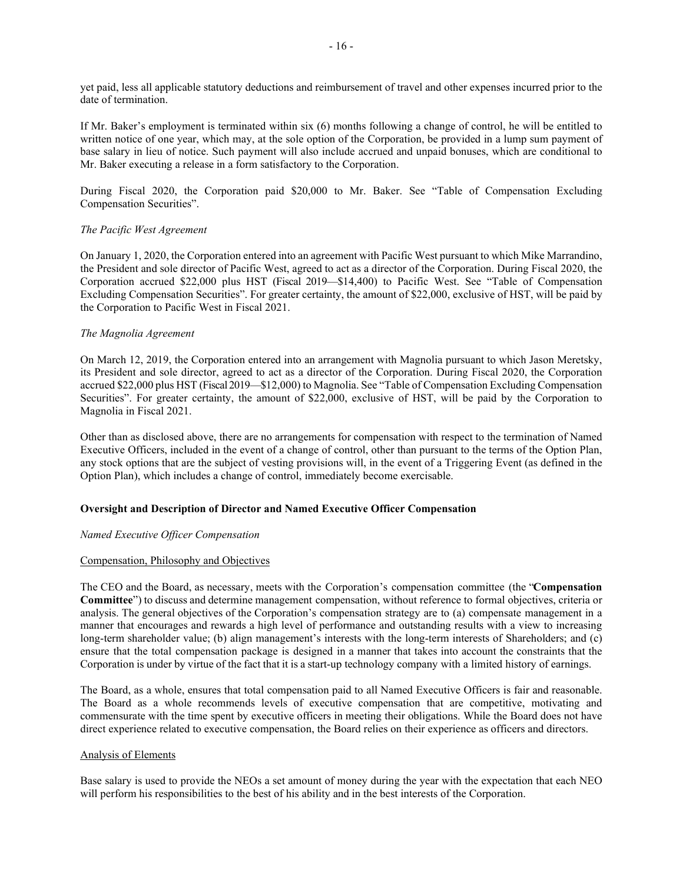yet paid, less all applicable statutory deductions and reimbursement of travel and other expenses incurred prior to the date of termination.

If Mr. Baker's employment is terminated within six (6) months following a change of control, he will be entitled to written notice of one year, which may, at the sole option of the Corporation, be provided in a lump sum payment of base salary in lieu of notice. Such payment will also include accrued and unpaid bonuses, which are conditional to Mr. Baker executing a release in a form satisfactory to the Corporation.

During Fiscal 2020, the Corporation paid \$20,000 to Mr. Baker. See "Table of Compensation Excluding Compensation Securities".

# *The Pacific West Agreement*

On January 1, 2020, the Corporation entered into an agreement with Pacific West pursuant to which Mike Marrandino, the President and sole director of Pacific West, agreed to act as a director of the Corporation. During Fiscal 2020, the Corporation accrued \$22,000 plus HST (Fiscal 2019—\$14,400) to Pacific West. See "Table of Compensation Excluding Compensation Securities". For greater certainty, the amount of \$22,000, exclusive of HST, will be paid by the Corporation to Pacific West in Fiscal 2021.

# *The Magnolia Agreement*

On March 12, 2019, the Corporation entered into an arrangement with Magnolia pursuant to which Jason Meretsky, its President and sole director, agreed to act as a director of the Corporation. During Fiscal 2020, the Corporation accrued \$22,000 plus HST (Fiscal 2019—\$12,000) to Magnolia. See "Table of Compensation Excluding Compensation Securities". For greater certainty, the amount of \$22,000, exclusive of HST, will be paid by the Corporation to Magnolia in Fiscal 2021.

Other than as disclosed above, there are no arrangements for compensation with respect to the termination of Named Executive Officers, included in the event of a change of control, other than pursuant to the terms of the Option Plan, any stock options that are the subject of vesting provisions will, in the event of a Triggering Event (as defined in the Option Plan), which includes a change of control, immediately become exercisable.

# **Oversight and Description of Director and Named Executive Officer Compensation**

# *Named Executive Officer Compensation*

# Compensation, Philosophy and Objectives

The CEO and the Board, as necessary, meets with the Corporation's compensation committee (the "**Compensation Committee**") to discuss and determine management compensation, without reference to formal objectives, criteria or analysis. The general objectives of the Corporation's compensation strategy are to (a) compensate management in a manner that encourages and rewards a high level of performance and outstanding results with a view to increasing long-term shareholder value; (b) align management's interests with the long-term interests of Shareholders; and (c) ensure that the total compensation package is designed in a manner that takes into account the constraints that the Corporation is under by virtue of the fact that it is a start-up technology company with a limited history of earnings.

The Board, as a whole, ensures that total compensation paid to all Named Executive Officers is fair and reasonable. The Board as a whole recommends levels of executive compensation that are competitive, motivating and commensurate with the time spent by executive officers in meeting their obligations. While the Board does not have direct experience related to executive compensation, the Board relies on their experience as officers and directors.

# Analysis of Elements

Base salary is used to provide the NEOs a set amount of money during the year with the expectation that each NEO will perform his responsibilities to the best of his ability and in the best interests of the Corporation.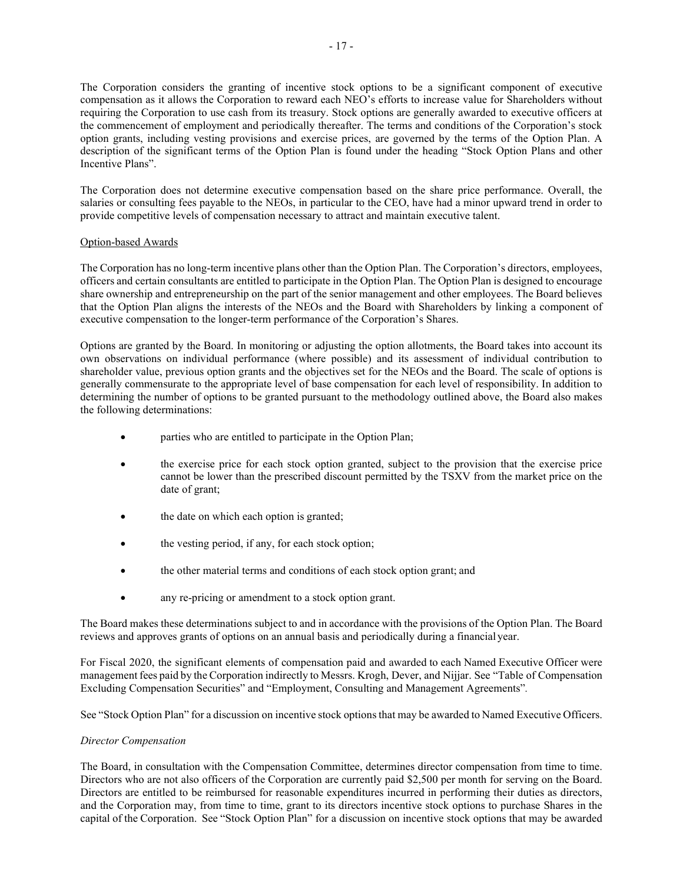The Corporation considers the granting of incentive stock options to be a significant component of executive compensation as it allows the Corporation to reward each NEO's efforts to increase value for Shareholders without requiring the Corporation to use cash from its treasury. Stock options are generally awarded to executive officers at the commencement of employment and periodically thereafter. The terms and conditions of the Corporation's stock option grants, including vesting provisions and exercise prices, are governed by the terms of the Option Plan. A description of the significant terms of the Option Plan is found under the heading "Stock Option Plans and other Incentive Plans".

The Corporation does not determine executive compensation based on the share price performance. Overall, the salaries or consulting fees payable to the NEOs, in particular to the CEO, have had a minor upward trend in order to provide competitive levels of compensation necessary to attract and maintain executive talent.

# Option-based Awards

The Corporation has no long-term incentive plans other than the Option Plan. The Corporation's directors, employees, officers and certain consultants are entitled to participate in the Option Plan. The Option Plan is designed to encourage share ownership and entrepreneurship on the part of the senior management and other employees. The Board believes that the Option Plan aligns the interests of the NEOs and the Board with Shareholders by linking a component of executive compensation to the longer-term performance of the Corporation's Shares.

Options are granted by the Board. In monitoring or adjusting the option allotments, the Board takes into account its own observations on individual performance (where possible) and its assessment of individual contribution to shareholder value, previous option grants and the objectives set for the NEOs and the Board. The scale of options is generally commensurate to the appropriate level of base compensation for each level of responsibility. In addition to determining the number of options to be granted pursuant to the methodology outlined above, the Board also makes the following determinations:

- parties who are entitled to participate in the Option Plan;
- the exercise price for each stock option granted, subject to the provision that the exercise price cannot be lower than the prescribed discount permitted by the TSXV from the market price on the date of grant;
- the date on which each option is granted;
- the vesting period, if any, for each stock option;
- the other material terms and conditions of each stock option grant; and
- any re-pricing or amendment to a stock option grant.

The Board makes these determinations subject to and in accordance with the provisions of the Option Plan. The Board reviews and approves grants of options on an annual basis and periodically during a financial year.

For Fiscal 2020, the significant elements of compensation paid and awarded to each Named Executive Officer were management fees paid by the Corporation indirectly to Messrs. Krogh, Dever, and Nijjar. See "Table of Compensation Excluding Compensation Securities" and ["Employment, Consulting and Management Agreements"](#page-18-0)*.*

See "Stock Option Plan" for a discussion on incentive stock options that may be awarded to Named Executive Officers.

# *Director Compensation*

The Board, in consultation with the Compensation Committee, determines director compensation from time to time. Directors who are not also officers of the Corporation are currently paid \$2,500 per month for serving on the Board. Directors are entitled to be reimbursed for reasonable expenditures incurred in performing their duties as directors, and the Corporation may, from time to time, grant to its directors incentive stock options to purchase Shares in the capital of the Corporation. See "Stock Option Plan" for a discussion on incentive stock options that may be awarded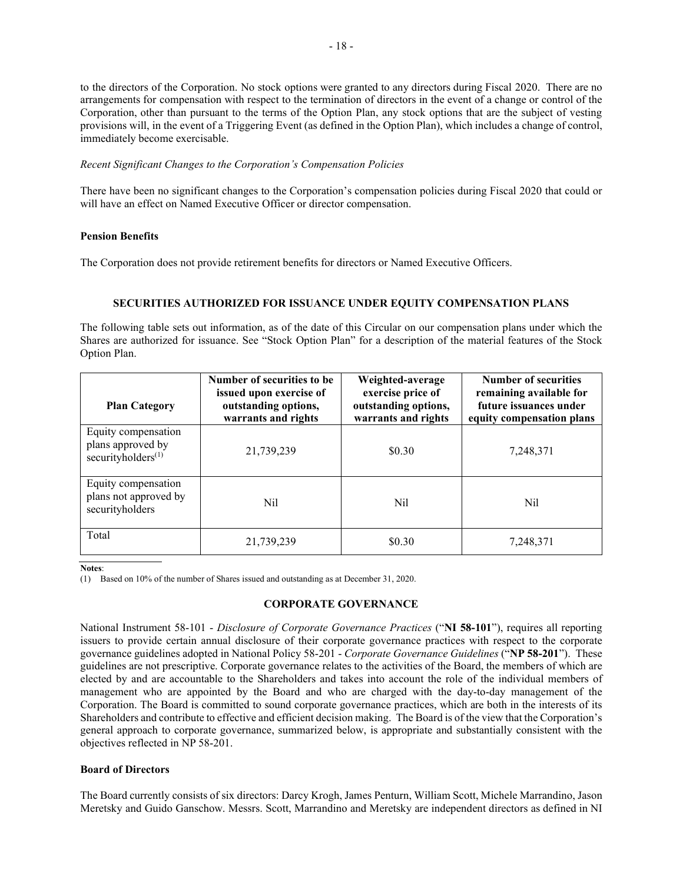to the directors of the Corporation. No stock options were granted to any directors during Fiscal 2020. There are no arrangements for compensation with respect to the termination of directors in the event of a change or control of the Corporation, other than pursuant to the terms of the Option Plan, any stock options that are the subject of vesting provisions will, in the event of a Triggering Event (as defined in the Option Plan), which includes a change of control, immediately become exercisable.

# *Recent Significant Changes to the Corporation's Compensation Policies*

There have been no significant changes to the Corporation's compensation policies during Fiscal 2020 that could or will have an effect on Named Executive Officer or director compensation.

# **Pension Benefits**

The Corporation does not provide retirement benefits for directors or Named Executive Officers.

# <span id="page-22-0"></span>**SECURITIES AUTHORIZED FOR ISSUANCE UNDER EQUITY COMPENSATION PLANS**

The following table sets out information, as of the date of this Circular on our compensation plans under which the Shares are authorized for issuance. See "Stock Option Plan" for a description of the material features of the Stock Option Plan.

| <b>Plan Category</b>                                                       | Number of securities to be<br>issued upon exercise of<br>outstanding options,<br>warrants and rights | Weighted-average<br>exercise price of<br>outstanding options,<br>warrants and rights | <b>Number of securities</b><br>remaining available for<br>future issuances under<br>equity compensation plans |
|----------------------------------------------------------------------------|------------------------------------------------------------------------------------------------------|--------------------------------------------------------------------------------------|---------------------------------------------------------------------------------------------------------------|
| Equity compensation<br>plans approved by<br>securityholders <sup>(1)</sup> | 21,739,239                                                                                           | \$0.30                                                                               | 7,248,371                                                                                                     |
| Equity compensation<br>plans not approved by<br>securityholders            | Nil                                                                                                  | Nil                                                                                  | Nil                                                                                                           |
| Total                                                                      | 21,739,239                                                                                           | \$0.30                                                                               | 7,248,371                                                                                                     |

**Notes**:

<span id="page-22-1"></span>(1) Based on 10% of the number of Shares issued and outstanding as at December 31, 2020.

# **CORPORATE GOVERNANCE**

National Instrument 58-101 - *Disclosure of Corporate Governance Practices* ("**NI 58-101**"), requires all reporting issuers to provide certain annual disclosure of their corporate governance practices with respect to the corporate governance guidelines adopted in National Policy 58-201 - *Corporate Governance Guidelines* ("**NP 58-201**"). These guidelines are not prescriptive. Corporate governance relates to the activities of the Board, the members of which are elected by and are accountable to the Shareholders and takes into account the role of the individual members of management who are appointed by the Board and who are charged with the day-to-day management of the Corporation. The Board is committed to sound corporate governance practices, which are both in the interests of its Shareholders and contribute to effective and efficient decision making. The Board is of the view that the Corporation's general approach to corporate governance, summarized below, is appropriate and substantially consistent with the objectives reflected in NP 58-201.

# **Board of Directors**

The Board currently consists of six directors: Darcy Krogh, James Penturn, William Scott, Michele Marrandino, Jason Meretsky and Guido Ganschow. Messrs. Scott, Marrandino and Meretsky are independent directors as defined in NI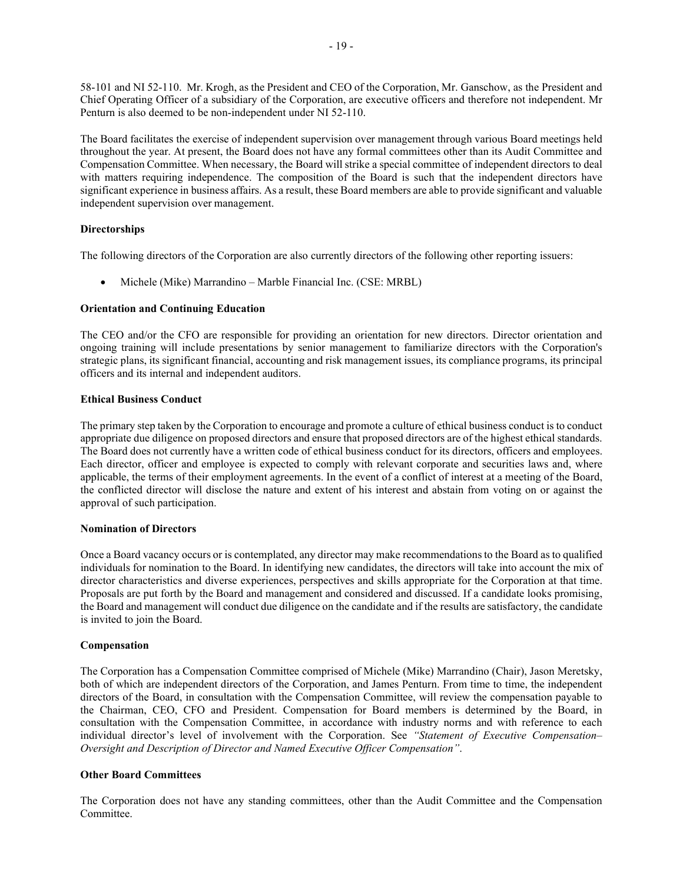58-101 and NI 52-110. Mr. Krogh, as the President and CEO of the Corporation, Mr. Ganschow, as the President and Chief Operating Officer of a subsidiary of the Corporation, are executive officers and therefore not independent. Mr Penturn is also deemed to be non-independent under NI 52-110.

The Board facilitates the exercise of independent supervision over management through various Board meetings held throughout the year. At present, the Board does not have any formal committees other than its Audit Committee and Compensation Committee. When necessary, the Board will strike a special committee of independent directors to deal with matters requiring independence. The composition of the Board is such that the independent directors have significant experience in business affairs. As a result, these Board members are able to provide significant and valuable independent supervision over management.

# **Directorships**

The following directors of the Corporation are also currently directors of the following other reporting issuers:

• Michele (Mike) Marrandino – Marble Financial Inc. (CSE: MRBL)

# **Orientation and Continuing Education**

The CEO and/or the CFO are responsible for providing an orientation for new directors. Director orientation and ongoing training will include presentations by senior management to familiarize directors with the Corporation's strategic plans, its significant financial, accounting and risk management issues, its compliance programs, its principal officers and its internal and independent auditors.

# **Ethical Business Conduct**

The primary step taken by the Corporation to encourage and promote a culture of ethical business conduct is to conduct appropriate due diligence on proposed directors and ensure that proposed directors are of the highest ethical standards. The Board does not currently have a written code of ethical business conduct for its directors, officers and employees. Each director, officer and employee is expected to comply with relevant corporate and securities laws and, where applicable, the terms of their employment agreements. In the event of a conflict of interest at a meeting of the Board, the conflicted director will disclose the nature and extent of his interest and abstain from voting on or against the approval of such participation.

# **Nomination of Directors**

Once a Board vacancy occurs or is contemplated, any director may make recommendationsto the Board as to qualified individuals for nomination to the Board. In identifying new candidates, the directors will take into account the mix of director characteristics and diverse experiences, perspectives and skills appropriate for the Corporation at that time. Proposals are put forth by the Board and management and considered and discussed. If a candidate looks promising, the Board and management will conduct due diligence on the candidate and if the results are satisfactory, the candidate is invited to join the Board.

# **Compensation**

The Corporation has a Compensation Committee comprised of Michele (Mike) Marrandino (Chair), Jason Meretsky, both of which are independent directors of the Corporation, and James Penturn. From time to time, the independent directors of the Board, in consultation with the Compensation Committee, will review the compensation payable to the Chairman, CEO, CFO and President. Compensation for Board members is determined by the Board, in consultation with the Compensation Committee, in accordance with industry norms and with reference to each individual director's level of involvement with the Corporation. See *"Statement of Executive Compensation– Oversight and Description of Director and Named Executive Officer Compensation"*.

# **Other Board Committees**

The Corporation does not have any standing committees, other than the Audit Committee and the Compensation Committee.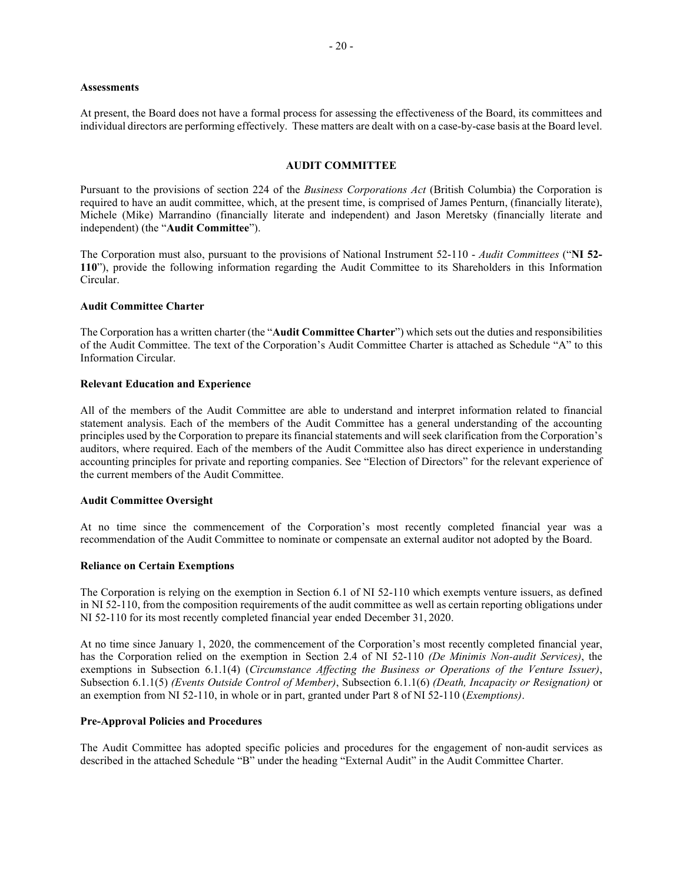#### **Assessments**

<span id="page-24-0"></span>At present, the Board does not have a formal process for assessing the effectiveness of the Board, its committees and individual directors are performing effectively. These matters are dealt with on a case-by-case basis at the Board level.

# **AUDIT COMMITTEE**

Pursuant to the provisions of section 224 of the *Business Corporations Act* (British Columbia) the Corporation is required to have an audit committee, which, at the present time, is comprised of James Penturn, (financially literate), Michele (Mike) Marrandino (financially literate and independent) and Jason Meretsky (financially literate and independent) (the "**Audit Committee**").

The Corporation must also, pursuant to the provisions of National Instrument 52-110 - *Audit Committees* ("**NI 52- 110**"), provide the following information regarding the Audit Committee to its Shareholders in this Information Circular.

#### **Audit Committee Charter**

The Corporation has a written charter (the "**Audit Committee Charter**") which sets out the duties and responsibilities of the Audit Committee. The text of the Corporation's Audit Committee Charter is attached as Schedule "A" to this Information Circular.

#### **Relevant Education and Experience**

All of the members of the Audit Committee are able to understand and interpret information related to financial statement analysis. Each of the members of the Audit Committee has a general understanding of the accounting principles used by the Corporation to prepare its financial statements and will seek clarification from the Corporation's auditors, where required. Each of the members of the Audit Committee also has direct experience in understanding accounting principles for private and reporting companies. See ["Election of Directors"](#page-8-1) for the relevant experience of the current members of the Audit Committee.

#### **Audit Committee Oversight**

At no time since the commencement of the Corporation's most recently completed financial year was a recommendation of the Audit Committee to nominate or compensate an external auditor not adopted by the Board.

#### **Reliance on Certain Exemptions**

The Corporation is relying on the exemption in Section 6.1 of NI 52-110 which exempts venture issuers, as defined in NI 52-110, from the composition requirements of the audit committee as well as certain reporting obligations under NI 52-110 for its most recently completed financial year ended December 31, 2020.

At no time since January 1, 2020, the commencement of the Corporation's most recently completed financial year, has the Corporation relied on the exemption in Section 2.4 of NI 52-110 *(De Minimis Non-audit Services)*, the exemptions in Subsection 6.1.1(4) (*Circumstance Affecting the Business or Operations of the Venture Issuer)*, Subsection 6.1.1(5) *(Events Outside Control of Member)*, Subsection 6.1.1(6) *(Death, Incapacity or Resignation)* or an exemption from NI 52-110, in whole or in part, granted under Part 8 of NI 52-110 (*Exemptions)*.

#### **Pre-Approval Policies and Procedures**

The Audit Committee has adopted specific policies and procedures for the engagement of non-audit services as described in the attached Schedule "B" under the heading "External Audit" in the Audit Committee Charter.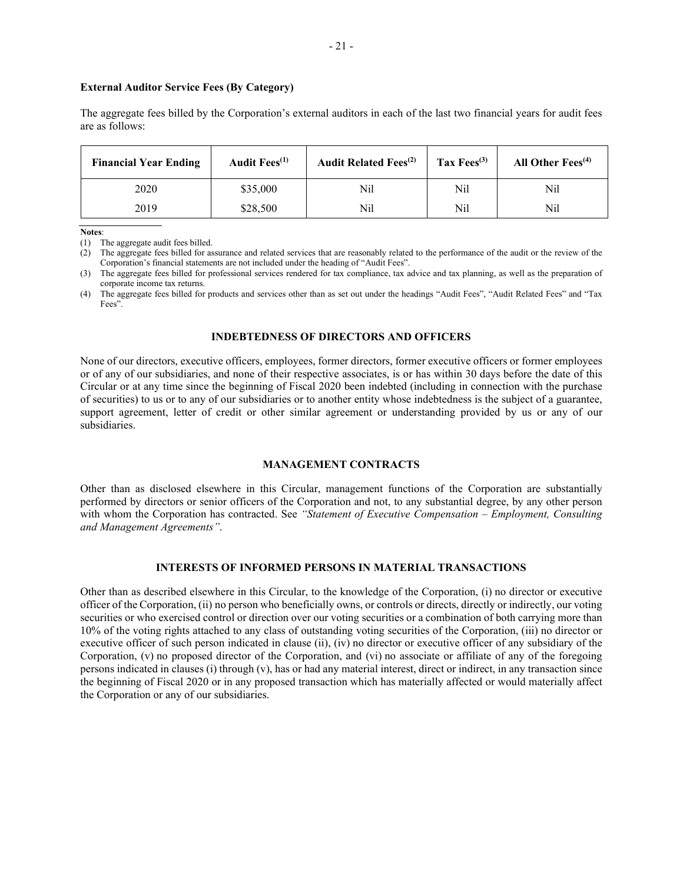#### **External Auditor Service Fees (By Category)**

The aggregate fees billed by the Corporation's external auditors in each of the last two financial years for audit fees are as follows:

| <b>Financial Year Ending</b> | Audit Fees <sup>(1)</sup> | <b>Audit Related Fees</b> <sup>(2)</sup> | Tax Fees $^{(3)}$ | All Other $Fees^{(4)}$ |
|------------------------------|---------------------------|------------------------------------------|-------------------|------------------------|
| 2020                         | \$35,000                  | Nil                                      | Nil               | Nil                    |
| 2019                         | \$28,500                  | Nil                                      | Nil               | Nil                    |

**Notes**:

(1) The aggregate audit fees billed.

(2) The aggregate fees billed for assurance and related services that are reasonably related to the performance of the audit or the review of the Corporation's financial statements are not included under the heading of "Audit Fees".

(3) The aggregate fees billed for professional services rendered for tax compliance, tax advice and tax planning, as well as the preparation of corporate income tax returns.

(4) The aggregate fees billed for products and services other than as set out under the headings "Audit Fees", "Audit Related Fees" and "Tax Fees".

#### <span id="page-25-0"></span>**INDEBTEDNESS OF DIRECTORS AND OFFICERS**

None of our directors, executive officers, employees, former directors, former executive officers or former employees or of any of our subsidiaries, and none of their respective associates, is or has within 30 days before the date of this Circular or at any time since the beginning of Fiscal 2020 been indebted (including in connection with the purchase of securities) to us or to any of our subsidiaries or to another entity whose indebtedness is the subject of a guarantee, support agreement, letter of credit or other similar agreement or understanding provided by us or any of our subsidiaries.

#### **MANAGEMENT CONTRACTS**

<span id="page-25-1"></span>Other than as disclosed elsewhere in this Circular, management functions of the Corporation are substantially performed by directors or senior officers of the Corporation and not, to any substantial degree, by any other person with whom the Corporation has contracted. See *"Statement of Executive Compensation – Employment, Consulting and Management Agreements"*.

# <span id="page-25-2"></span>**INTERESTS OF INFORMED PERSONS IN MATERIAL TRANSACTIONS**

Other than as described elsewhere in this Circular, to the knowledge of the Corporation, (i) no director or executive officer of the Corporation, (ii) no person who beneficially owns, or controls or directs, directly or indirectly, our voting securities or who exercised control or direction over our voting securities or a combination of both carrying more than 10% of the voting rights attached to any class of outstanding voting securities of the Corporation, (iii) no director or executive officer of such person indicated in clause (ii), (iv) no director or executive officer of any subsidiary of the Corporation, (v) no proposed director of the Corporation, and (vi) no associate or affiliate of any of the foregoing persons indicated in clauses (i) through (v), has or had any material interest, direct or indirect, in any transaction since the beginning of Fiscal 2020 or in any proposed transaction which has materially affected or would materially affect the Corporation or any of our subsidiaries.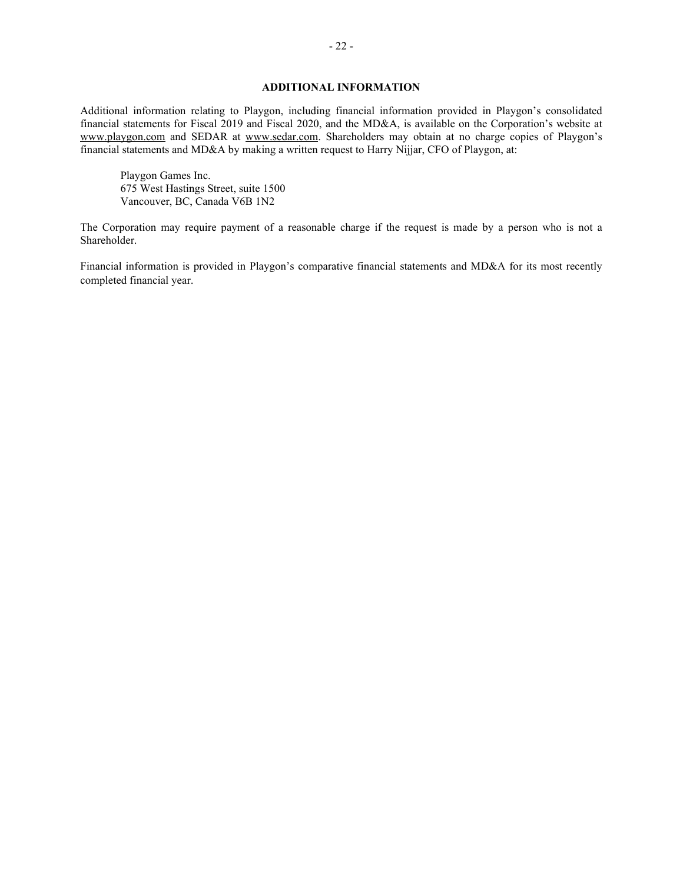# **ADDITIONAL INFORMATION**

<span id="page-26-0"></span>Additional information relating to Playgon, including financial information provided in Playgon's consolidated financial statements for Fiscal 2019 and Fiscal 2020, and the MD&A, is available on the Corporation's website at www.playgon.com and SEDAR at [www.sedar.com.](http://www.sedar.com/) Shareholders may obtain at no charge copies of Playgon's financial statements and MD&A by making a written request to Harry Nijjar, CFO of Playgon, at:

Playgon Games Inc. 675 West Hastings Street, suite 1500 Vancouver, BC, Canada V6B 1N2

The Corporation may require payment of a reasonable charge if the request is made by a person who is not a Shareholder.

Financial information is provided in Playgon's comparative financial statements and MD&A for its most recently completed financial year.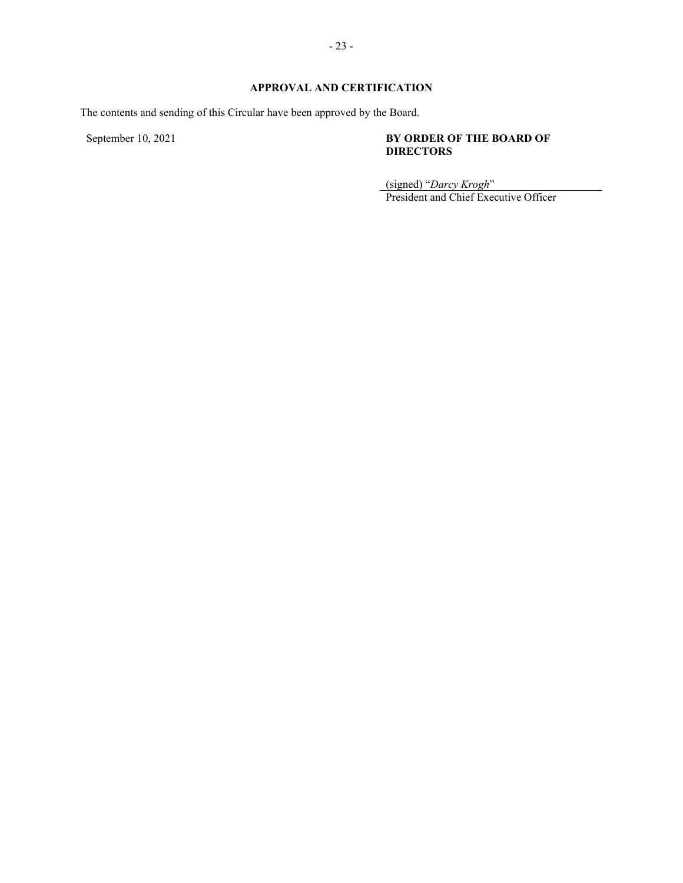# <span id="page-27-0"></span>**APPROVAL AND CERTIFICATION**

The contents and sending of this Circular have been approved by the Board.

# September 10, 2021 **BY ORDER OF THE BOARD OF DIRECTORS**

(signed) "*Darcy Krogh*"

President and Chief Executive Officer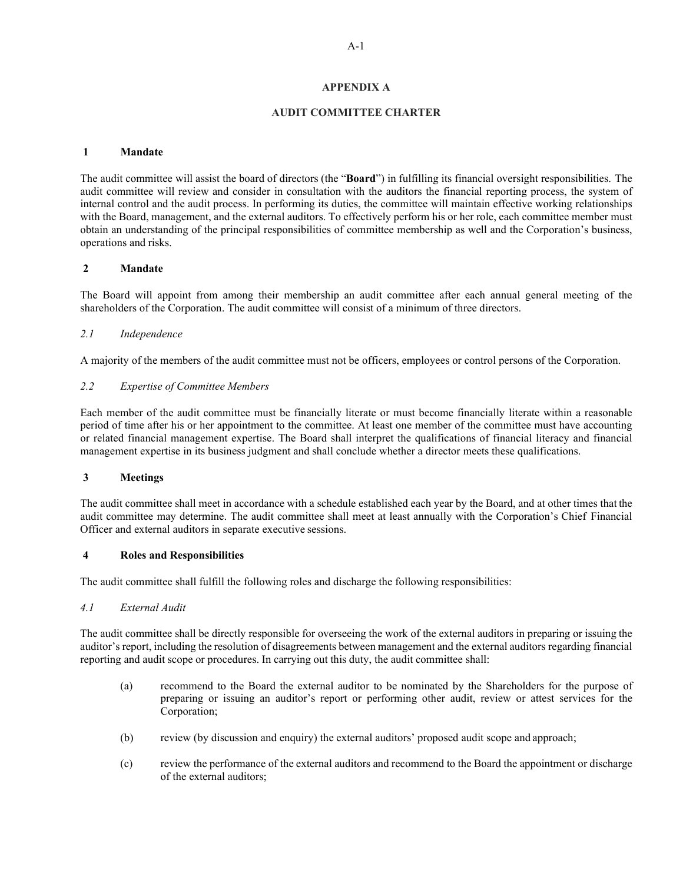# **APPENDIX A**

# **AUDIT COMMITTEE CHARTER**

#### <span id="page-28-0"></span>**1 Mandate**

The audit committee will assist the board of directors (the "**Board**") in fulfilling its financial oversight responsibilities. The audit committee will review and consider in consultation with the auditors the financial reporting process, the system of internal control and the audit process. In performing its duties, the committee will maintain effective working relationships with the Board, management, and the external auditors. To effectively perform his or her role, each committee member must obtain an understanding of the principal responsibilities of committee membership as well and the Corporation's business, operations and risks.

# **2 Mandate**

The Board will appoint from among their membership an audit committee after each annual general meeting of the shareholders of the Corporation. The audit committee will consist of a minimum of three directors.

# *2.1 Independence*

A majority of the members of the audit committee must not be officers, employees or control persons of the Corporation.

# *2.2 Expertise of Committee Members*

Each member of the audit committee must be financially literate or must become financially literate within a reasonable period of time after his or her appointment to the committee. At least one member of the committee must have accounting or related financial management expertise. The Board shall interpret the qualifications of financial literacy and financial management expertise in its business judgment and shall conclude whether a director meets these qualifications.

# **3 Meetings**

The audit committee shall meet in accordance with a schedule established each year by the Board, and at other times that the audit committee may determine. The audit committee shall meet at least annually with the Corporation's Chief Financial Officer and external auditors in separate executive sessions.

# **4 Roles and Responsibilities**

The audit committee shall fulfill the following roles and discharge the following responsibilities:

# *4.1 External Audit*

The audit committee shall be directly responsible for overseeing the work of the external auditors in preparing or issuing the auditor's report, including the resolution of disagreements between management and the external auditors regarding financial reporting and audit scope or procedures. In carrying out this duty, the audit committee shall:

- (a) recommend to the Board the external auditor to be nominated by the Shareholders for the purpose of preparing or issuing an auditor's report or performing other audit, review or attest services for the Corporation;
- (b) review (by discussion and enquiry) the external auditors' proposed audit scope and approach;
- (c) review the performance of the external auditors and recommend to the Board the appointment or discharge of the external auditors;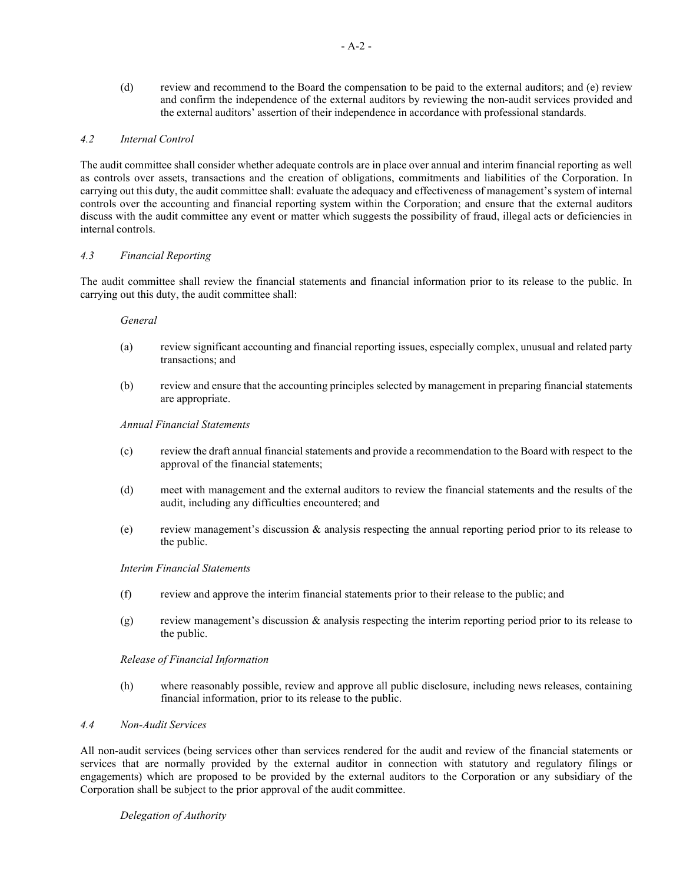(d) review and recommend to the Board the compensation to be paid to the external auditors; and (e) review and confirm the independence of the external auditors by reviewing the non-audit services provided and the external auditors' assertion of their independence in accordance with professional standards.

# *4.2 Internal Control*

The audit committee shall consider whether adequate controls are in place over annual and interim financial reporting as well as controls over assets, transactions and the creation of obligations, commitments and liabilities of the Corporation. In carrying out this duty, the audit committee shall: evaluate the adequacy and effectiveness of management'ssystem of internal controls over the accounting and financial reporting system within the Corporation; and ensure that the external auditors discuss with the audit committee any event or matter which suggests the possibility of fraud, illegal acts or deficiencies in internal controls.

# *4.3 Financial Reporting*

The audit committee shall review the financial statements and financial information prior to its release to the public. In carrying out this duty, the audit committee shall:

# *General*

- (a) review significant accounting and financial reporting issues, especially complex, unusual and related party transactions; and
- (b) review and ensure that the accounting principles selected by management in preparing financial statements are appropriate.

# *Annual Financial Statements*

- (c) review the draft annual financial statements and provide a recommendation to the Board with respect to the approval of the financial statements;
- (d) meet with management and the external auditors to review the financial statements and the results of the audit, including any difficulties encountered; and
- (e) review management's discussion & analysis respecting the annual reporting period prior to its release to the public.

# *Interim Financial Statements*

- (f) review and approve the interim financial statements prior to their release to the public; and
- (g) review management's discussion & analysis respecting the interim reporting period prior to its release to the public.

# *Release of Financial Information*

(h) where reasonably possible, review and approve all public disclosure, including news releases, containing financial information, prior to its release to the public.

# *4.4 Non-Audit Services*

All non-audit services (being services other than services rendered for the audit and review of the financial statements or services that are normally provided by the external auditor in connection with statutory and regulatory filings or engagements) which are proposed to be provided by the external auditors to the Corporation or any subsidiary of the Corporation shall be subject to the prior approval of the audit committee.

# *Delegation of Authority*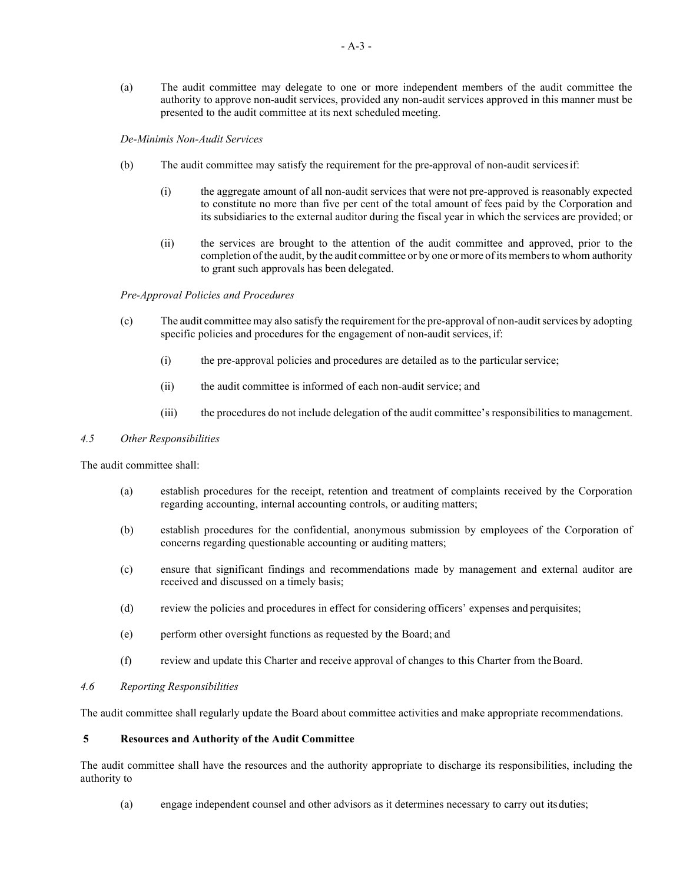(a) The audit committee may delegate to one or more independent members of the audit committee the authority to approve non-audit services, provided any non-audit services approved in this manner must be presented to the audit committee at its next scheduled meeting.

#### *De-Minimis Non-Audit Services*

- (b) The audit committee may satisfy the requirement for the pre-approval of non-audit servicesif:
	- (i) the aggregate amount of all non-audit services that were not pre-approved is reasonably expected to constitute no more than five per cent of the total amount of fees paid by the Corporation and its subsidiaries to the external auditor during the fiscal year in which the services are provided; or
	- (ii) the services are brought to the attention of the audit committee and approved, prior to the completion of the audit, by the audit committee or by one or more of its members to whom authority to grant such approvals has been delegated.

# *Pre-Approval Policies and Procedures*

- (c) The audit committee may also satisfy the requirement for the pre-approval of non-auditservices by adopting specific policies and procedures for the engagement of non-audit services, if:
	- (i) the pre-approval policies and procedures are detailed as to the particularservice;
	- (ii) the audit committee is informed of each non-audit service; and
	- (iii) the procedures do not include delegation of the audit committee's responsibilities to management.

#### *4.5 Other Responsibilities*

The audit committee shall:

- (a) establish procedures for the receipt, retention and treatment of complaints received by the Corporation regarding accounting, internal accounting controls, or auditing matters;
- (b) establish procedures for the confidential, anonymous submission by employees of the Corporation of concerns regarding questionable accounting or auditing matters;
- (c) ensure that significant findings and recommendations made by management and external auditor are received and discussed on a timely basis;
- (d) review the policies and procedures in effect for considering officers' expenses and perquisites;
- (e) perform other oversight functions as requested by the Board; and
- (f) review and update this Charter and receive approval of changes to this Charter from theBoard.

# *4.6 Reporting Responsibilities*

The audit committee shall regularly update the Board about committee activities and make appropriate recommendations.

#### **5 Resources and Authority of the Audit Committee**

The audit committee shall have the resources and the authority appropriate to discharge its responsibilities, including the authority to

(a) engage independent counsel and other advisors as it determines necessary to carry out itsduties;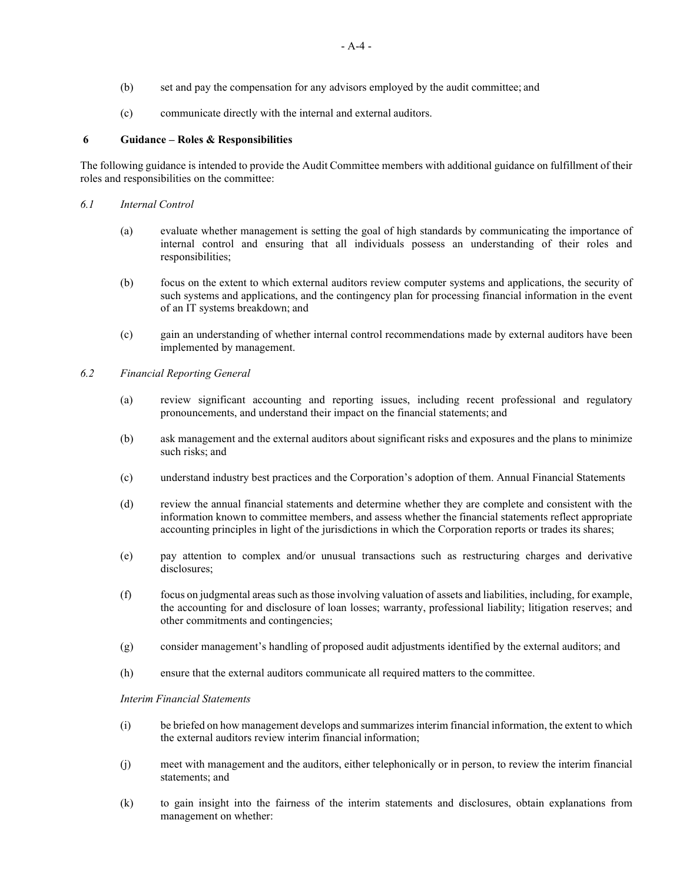- (b) set and pay the compensation for any advisors employed by the audit committee; and
- (c) communicate directly with the internal and external auditors.

# **6 Guidance – Roles & Responsibilities**

The following guidance is intended to provide the Audit Committee members with additional guidance on fulfillment of their roles and responsibilities on the committee:

- *6.1 Internal Control*
	- (a) evaluate whether management is setting the goal of high standards by communicating the importance of internal control and ensuring that all individuals possess an understanding of their roles and responsibilities;
	- (b) focus on the extent to which external auditors review computer systems and applications, the security of such systems and applications, and the contingency plan for processing financial information in the event of an IT systems breakdown; and
	- (c) gain an understanding of whether internal control recommendations made by external auditors have been implemented by management.
- *6.2 Financial Reporting General*
	- (a) review significant accounting and reporting issues, including recent professional and regulatory pronouncements, and understand their impact on the financial statements; and
	- (b) ask management and the external auditors about significant risks and exposures and the plans to minimize such risks; and
	- (c) understand industry best practices and the Corporation's adoption of them. Annual Financial Statements
	- (d) review the annual financial statements and determine whether they are complete and consistent with the information known to committee members, and assess whether the financial statements reflect appropriate accounting principles in light of the jurisdictions in which the Corporation reports or trades its shares;
	- (e) pay attention to complex and/or unusual transactions such as restructuring charges and derivative disclosures;
	- (f) focus on judgmental areas such as those involving valuation of assets and liabilities, including, for example, the accounting for and disclosure of loan losses; warranty, professional liability; litigation reserves; and other commitments and contingencies;
	- (g) consider management's handling of proposed audit adjustments identified by the external auditors; and
	- (h) ensure that the external auditors communicate all required matters to the committee.

# *Interim Financial Statements*

- (i) be briefed on how management develops and summarizes interim financial information, the extent to which the external auditors review interim financial information;
- (j) meet with management and the auditors, either telephonically or in person, to review the interim financial statements; and
- (k) to gain insight into the fairness of the interim statements and disclosures, obtain explanations from management on whether: